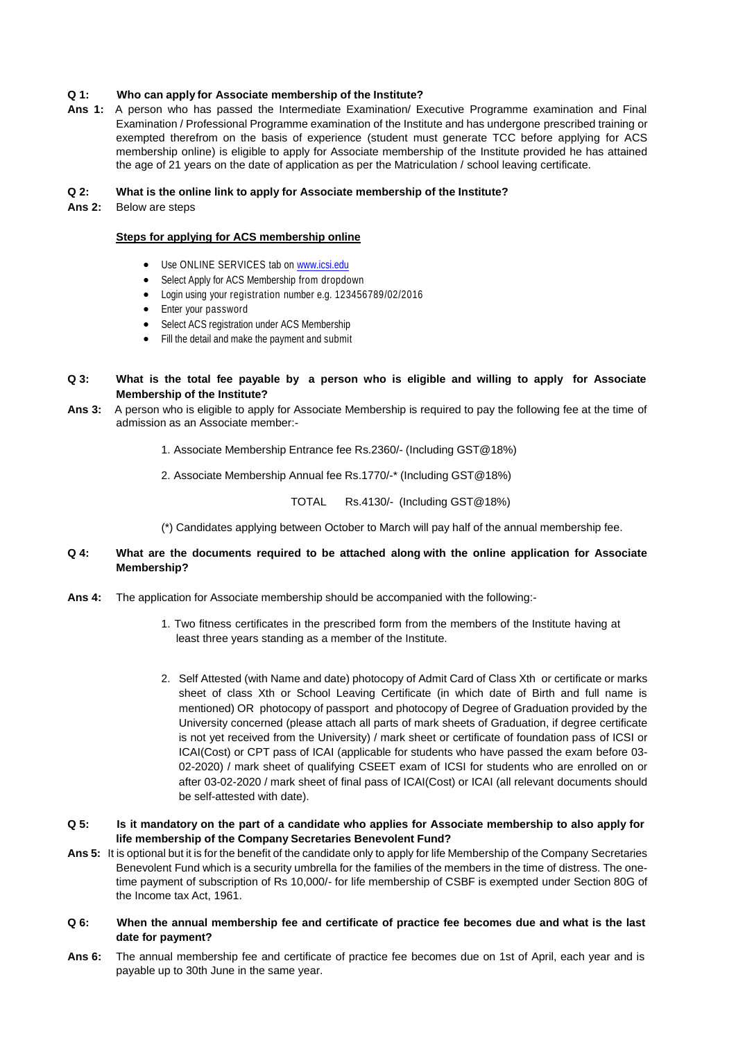## **Q 1: Who can apply for Associate membership of the Institute?**

**Ans 1:** A person who has passed the Intermediate Examination/ Executive Programme examination and Final Examination / Professional Programme examination of the Institute and has undergone prescribed training or exempted therefrom on the basis of experience (student must generate TCC before applying for ACS membership online) is eligible to apply for Associate membership of the Institute provided he has attained the age of 21 years on the date of application as per the Matriculation / school leaving certificate.

### **Q 2: What is the online link to apply for Associate membership of the Institute?**

**Ans 2:** Below are steps

## **Steps for applying for ACS membership online**

- Use ONLINE SERVICES tab on [www.icsi.edu](http://www.icsi.edu/)
- Select Apply for ACS Membership from dropdown
- Login using your registration number e.g. 123456789/02/2016
- Enter your password
- Select ACS registration under ACS Membership
- Fill the detail and make the payment and submit

## Q 3: What is the total fee payable by a person who is eligible and willing to apply for Associate **Membership of the Institute?**

- **Ans 3:** A person who is eligible to apply for Associate Membership is required to pay the following fee at the time of admission as an Associate member:-
	- 1. Associate Membership Entrance fee Rs.2360/- (Including GST@18%)
	- 2. Associate Membership Annual fee Rs.1770/-\* (Including GST@18%)

TOTAL Rs.4130/- (Including GST@18%)

(\*) Candidates applying between October to March will pay half of the annual membership fee.

# **Q 4: What are the documents required to be attached along with the online application for Associate Membership?**

- **Ans 4:** The application for Associate membership should be accompanied with the following:-
	- 1. Two fitness certificates in the prescribed form from the members of the Institute having at least three years standing as a member of the Institute.
	- 2. Self Attested (with Name and date) photocopy of Admit Card of Class Xth or certificate or marks sheet of class Xth or School Leaving Certificate (in which date of Birth and full name is mentioned) OR photocopy of passport and photocopy of Degree of Graduation provided by the University concerned (please attach all parts of mark sheets of Graduation, if degree certificate is not yet received from the University) / mark sheet or certificate of foundation pass of ICSI or ICAI(Cost) or CPT pass of ICAI (applicable for students who have passed the exam before 03- 02-2020) / mark sheet of qualifying CSEET exam of ICSI for students who are enrolled on or after 03-02-2020 / mark sheet of final pass of ICAI(Cost) or ICAI (all relevant documents should be self-attested with date).
- Q 5: Is it mandatory on the part of a candidate who applies for Associate membership to also apply for **life membership of the Company Secretaries Benevolent Fund?**
- **Ans 5:** It is optional but it is for the benefit of the candidate only to apply for life Membership of the Company Secretaries Benevolent Fund which is a security umbrella for the families of the members in the time of distress. The onetime payment of subscription of Rs 10,000/- for life membership of CSBF is exempted under Section 80G of the Income tax Act, 1961.

## Q 6: When the annual membership fee and certificate of practice fee becomes due and what is the last **date for payment?**

**Ans 6:** The annual membership fee and certificate of practice fee becomes due on 1st of April, each year and is payable up to 30th June in the same year.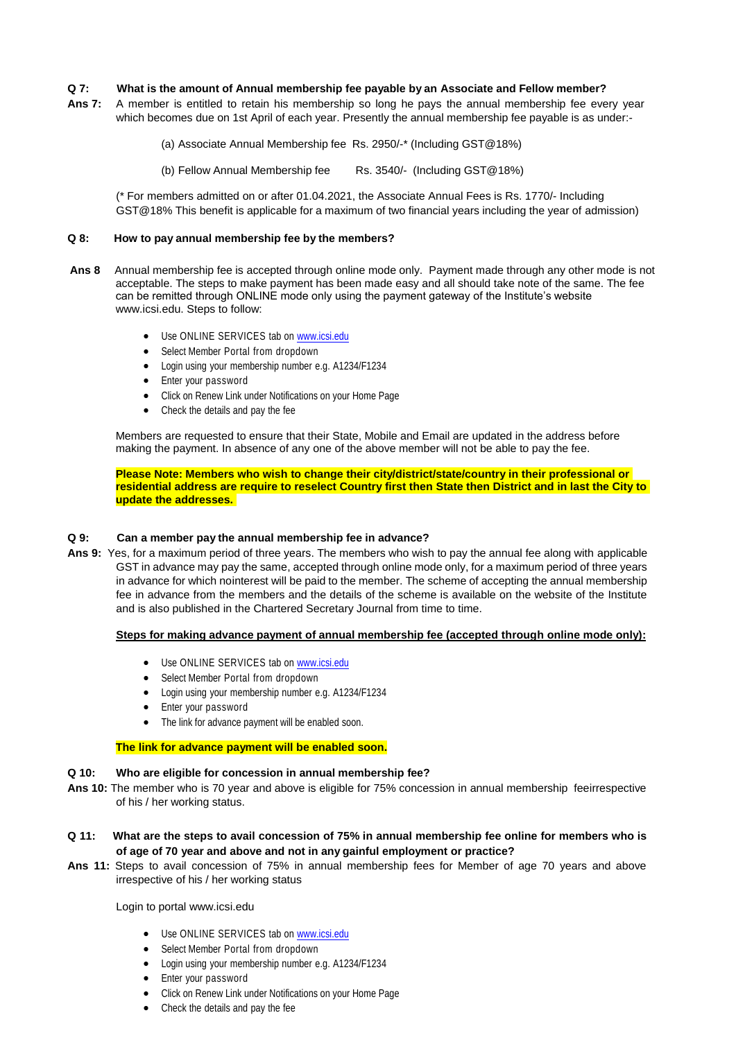## **Q 7: What is the amount of Annual membership fee payable by an Associate and Fellow member?**

**Ans 7:** A member is entitled to retain his membership so long he pays the annual membership fee every year which becomes due on 1st April of each year. Presently the annual membership fee payable is as under:-

(a) Associate Annual Membership fee Rs. 2950/-\* (Including GST@18%)

(b) Fellow Annual Membership fee Rs. 3540/- (Including GST@18%)

(\* For members admitted on or after 01.04.2021, the Associate Annual Fees is Rs. 1770/- Including GST@18% This benefit is applicable for a maximum of two financial years including the year of admission)

#### **Q 8: How to pay annual membership fee by the members?**

- **Ans 8** Annual membership fee is accepted through online mode only. Payment made through any other mode is not acceptable. The steps to make payment has been made easy and all should take note of the same. The fee can be remitted through ONLINE mode only using the payment gateway of the Institute's website [www.icsi.edu.](https://u2186533.ct.sendgrid.net/wf/click?upn=uREuIGUbUFAISt9JMqtrGkbH7xKg3ntZGXAVknyHot5SV8yGW-2FRxT9uF3PDUVaEPLs-2FmZt2r1BKFi9axlhY7gOMa1pDIxQbm0P7LeqMZnvEC-2BFv4cya-2Fg1oiufuqfKqqXFS3E05r9O0PTY4DKV7TweyYwxP5Kg0xSXap09RCtJIU8M1HY5tJh5Et9K1Z9hRQgOZRVHyUXUMjM8Q7lKImlw-3D-3D_6EcXPH4DQmGsmztJUA7r-2BnBPyfRHMx6-2FMa65ZW0XT7kizu6smKy10wDO8XXgjmTbJUBGadLX5180lOkBGylvIty9QB-2BDYRqvAZmknRZ3eRjC9SIhY5UHDOYwQ0zlDLH0Og-2F9127PLFPAvRL3fT9VF-2Fxae1bOTgyz3rwT90h8a8L035PniS0RyjTpdBMGpXdDRLAAWvx-2Bgrx9Uzk6vMD5fhl8EPyuL-2FDu1rllxwY6sh4igth-2Bnr0woFPCJ7mu8VI7-2BDwu7WhM-2F0s-2BjtRV0fDXXaJ901uCrtGcppJDBpSM-2BtNpvYVLJNXnKEQOJW9GSB-2F75pDAlwH3pX-2FTcKz96pfUaRfOtPHecDoMMAtz9Uzr6S77c-2BPY1iPH6A5fHT4aMxUF9wsewuhjX6OjBTnVTYR9YA-3D-3D) Steps to follow:
	- Use ONLINE SERVICES tab on [www.icsi.edu](http://www.icsi.edu/)
	- Select Member Portal from dropdown
	- Login using your membership number e.g. A1234/F1234
	- Enter your password
	- Click on Renew Link under Notifications on your Home Page
	- Check the details and pay the fee

Members are requested to ensure that their State, Mobile and Email are updated in the address before making the payment. In absence of any one of the above member will not be able to pay the fee.

**Please Note: Members who wish to change their city/district/state/country in their professional or** residential address are require to reselect Country first then State then District and in last the City to **update the addresses.**

#### **Q 9: Can a member pay the annual membership fee in advance?**

**Ans 9:** Yes, for a maximum period of three years. The members who wish to pay the annual fee along with applicable GST in advance may pay the same, accepted through online mode only, for a maximum period of three years in advance for which nointerest will be paid to the member. The scheme of accepting the annual membership fee in advance from the members and the details of the scheme is available on the website of the Institute and is also published in the Chartered Secretary Journal from time to time.

#### **Steps for making advance payment of annual membership fee (accepted through online mode only):**

- Use ONLINE SERVICES tab on [www.icsi.edu](http://www.icsi.edu/)
- Select Member Portal from dropdown
- Login using your membership number e.g. A1234/F1234
- Enter your password
- The link for advance payment will be enabled soon.

#### **The link for advance payment will be enabled soon.**

#### **Q 10: Who are eligible for concession in annual membership fee?**

- **Ans 10:** The member who is 70 year and above is eligible for 75% concession in annual membership feeirrespective of his / her working status.
- **Q 11: What are the steps to avail concession of 75% in annual membership fee online for members who is of age of 70 year and above and not in any gainful employment or practice?**
- **Ans 11:** Steps to avail concession of 75% in annual membership fees for Member of age 70 years and above irrespective of his / her working status

Login to portal [www.icsi.edu](http://www.icsi.edu/)

- Use ONLINE SERVICES tab on [www.icsi.edu](http://www.icsi.edu/)
- Select Member Portal from dropdown
- Login using your membership number e.g. A1234/F1234
- Enter your password
- Click on Renew Link under Notifications on your Home Page
- Check the details and pay the fee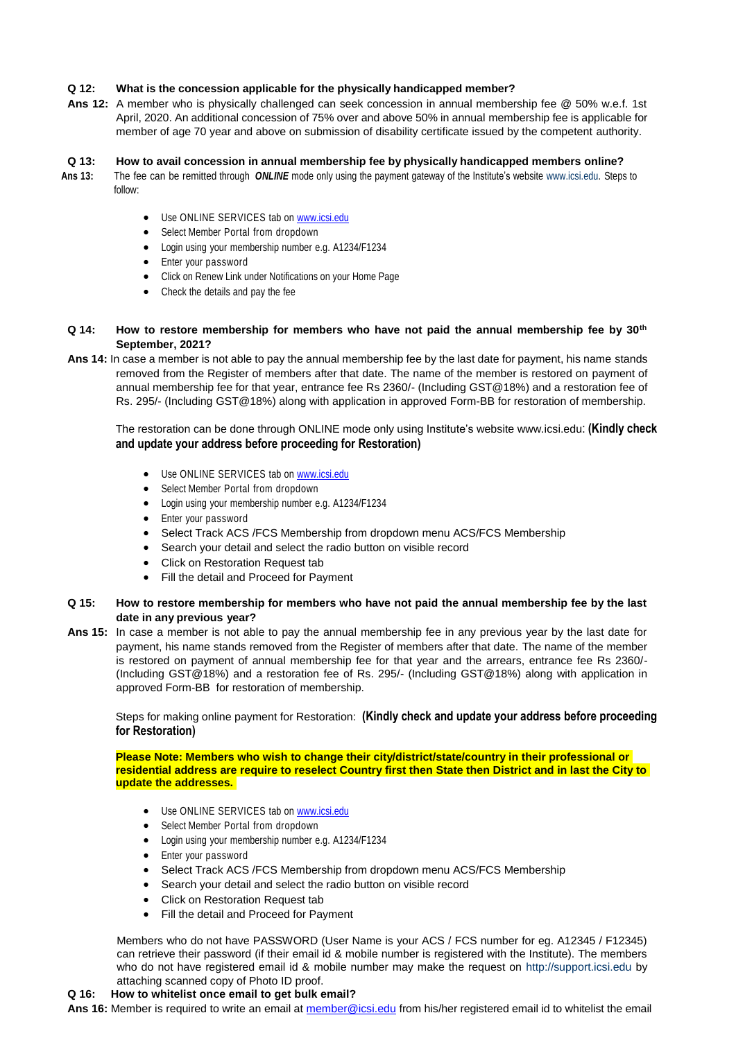## **Q 12: What is the concession applicable for the physically handicapped member?**

**Ans 12:** A member who is physically challenged can seek concession in annual membership fee @ 50% w.e.f. 1st April, 2020. An additional concession of 75% over and above 50% in annual membership fee is applicable for member of age 70 year and above on submission of disability certificate issued by the competent authority.

## **Q 13: How to avail concession in annual membership fee by physically handicapped members online?**

- **Ans 13:** The fee can be remitted through *ONLINE* mode only using the payment gateway of the Institute's website [www.icsi.edu.](https://u2186533.ct.sendgrid.net/wf/click?upn=uREuIGUbUFAISt9JMqtrGkbH7xKg3ntZGXAVknyHot5SV8yGW-2FRxT9uF3PDUVaEPLs-2FmZt2r1BKFi9axlhY7gOMa1pDIxQbm0P7LeqMZnvEC-2BFv4cya-2Fg1oiufuqfKqqXFS3E05r9O0PTY4DKV7TweyYwxP5Kg0xSXap09RCtJIU8M1HY5tJh5Et9K1Z9hRQgOZRVHyUXUMjM8Q7lKImlw-3D-3D_6EcXPH4DQmGsmztJUA7r-2BnBPyfRHMx6-2FMa65ZW0XT7kizu6smKy10wDO8XXgjmTbJUBGadLX5180lOkBGylvIty9QB-2BDYRqvAZmknRZ3eRjC9SIhY5UHDOYwQ0zlDLH0Og-2F9127PLFPAvRL3fT9VF-2Fxae1bOTgyz3rwT90h8a8L035PniS0RyjTpdBMGpXdDRLAAWvx-2Bgrx9Uzk6vMD5fhl8EPyuL-2FDu1rllxwY6sh4igth-2Bnr0woFPCJ7mu8VI7-2BDwu7WhM-2F0s-2BjtRV0fDXXaJ901uCrtGcppJDBpSM-2BtNpvYVLJNXnKEQOJW9GSB-2F75pDAlwH3pX-2FTcKz96pfUaRfOtPHecDoMMAtz9Uzr6S77c-2BPY1iPH6A5fHT4aMxUF9wsewuhjX6OjBTnVTYR9YA-3D-3D) Steps to follow:
	- Use ONLINE SERVICES tab on [www.icsi.edu](http://www.icsi.edu/)
	- Select Member Portal from dropdown
	- Login using your membership number e.g. A1234/F1234
	- Enter your password
	- Click on Renew Link under Notifications on your Home Page
	- Check the details and pay the fee

### **Q 14: How to restore membership for members who have not paid the annual membership fee by 30th September, 2021?**

**Ans 14:** In case a member is not able to pay the annual membership fee by the last date for payment, his name stands removed from the Register of members after that date. The name of the member is restored on payment of annual membership fee for that year, entrance fee Rs 2360/- (Including GST@18%) and a restoration fee of Rs. 295/- (Including GST@18%) along with application in approved Form-BB for restoration of membership.

The restoration can be done through ONLINE mode only using Institute's website [www.icsi.edu](https://u2186533.ct.sendgrid.net/wf/click?upn=uREuIGUbUFAISt9JMqtrGkbH7xKg3ntZGXAVknyHot5SV8yGW-2FRxT9uF3PDUVaEPLs-2FmZt2r1BKFi9axlhY7gOMa1pDIxQbm0P7LeqMZnvEC-2BFv4cya-2Fg1oiufuqfKqqXFS3E05r9O0PTY4DKV7TweyYwxP5Kg0xSXap09RCtJIU8M1HY5tJh5Et9K1Z9hRQgOZRVHyUXUMjM8Q7lKImlw-3D-3D_6EcXPH4DQmGsmztJUA7r-2BnBPyfRHMx6-2FMa65ZW0XT7kizu6smKy10wDO8XXgjmTbJUBGadLX5180lOkBGylvIty9QB-2BDYRqvAZmknRZ3eRjC9SIhY5UHDOYwQ0zlDLH0Og-2F9127PLFPAvRL3fT9VF-2Fxae1bOTgyz3rwT90h8a8L035PniS0RyjTpdBMGpXdDRLAAWvx-2Bgrx9Uzk6vMD5fhl8EPyuL-2FDu1rllxwY6sh4igth-2Bnr0woFPCJ7mu8VI7-2BDwu7WhM-2F0s-2BjtRV0fDXXaJ901uCrtGcppJDBpSM-2BtNpvYVLJNXnKEQOJW9GSB-2F75pDAlwH3pX-2FTcKz96pfUaRfOtPHecDoMMAtz9Uzr6S77c-2BPY1iPH6A5fHT4aMxUF9wsewuhjX6OjBTnVTYR9YA-3D-3D): **(Kindly check and update your address before proceeding for Restoration)**

- Use ONLINE SERVICES tab on [www.icsi.edu](http://www.icsi.edu/)
- Select Member Portal from dropdown
- Login using your membership number e.g. A1234/F1234
- Enter your password
- Select Track ACS /FCS Membership from dropdown menu ACS/FCS Membership
- Search your detail and select the radio button on visible record
- Click on Restoration Request tab
- Fill the detail and Proceed for Payment

## **Q 15: How to restore membership for members who have not paid the annual membership fee by the last date in any previous year?**

**Ans 15:** In case a member is not able to pay the annual membership fee in any previous year by the last date for payment, his name stands removed from the Register of members after that date. The name of the member is restored on payment of annual membership fee for that year and the arrears, entrance fee Rs 2360/- (Including GST@18%) and a restoration fee of Rs. 295/- (Including GST@18%) along with application in approved Form-BB for restoration of membership.

Steps for making online payment for Restoration: **(Kindly check and update your address before proceeding for Restoration)**

**Please Note: Members who wish to change their city/district/state/country in their professional or** residential address are require to reselect Country first then State then District and in last the City to **update the addresses.**

- Use ONLINE SERVICES tab on [www.icsi.edu](http://www.icsi.edu/)
- Select Member Portal from dropdown
- Login using your membership number e.g. A1234/F1234
- Enter your password
- Select Track ACS /FCS Membership from dropdown menu ACS/FCS Membership
- Search your detail and select the radio button on visible record
- Click on Restoration Request tab
- Fill the detail and Proceed for Payment

Members who do not have PASSWORD (User Name is your ACS / FCS number for eq. A12345 / F12345) can retrieve their password (if their email id & mobile number is registered with the Institute). The members who do not have registered email id & mobile number may make the request on [http://support.icsi.edu b](http://support.icsi.edu/)y attaching scanned copy of Photo ID proof.

### **Q 16: How to whitelist once email to get bulk email?**

**Ans 16:** Member is required to write an email at [member@icsi.edu](mailto:member@icsi.edu) from his/her registered email id to whitelist the email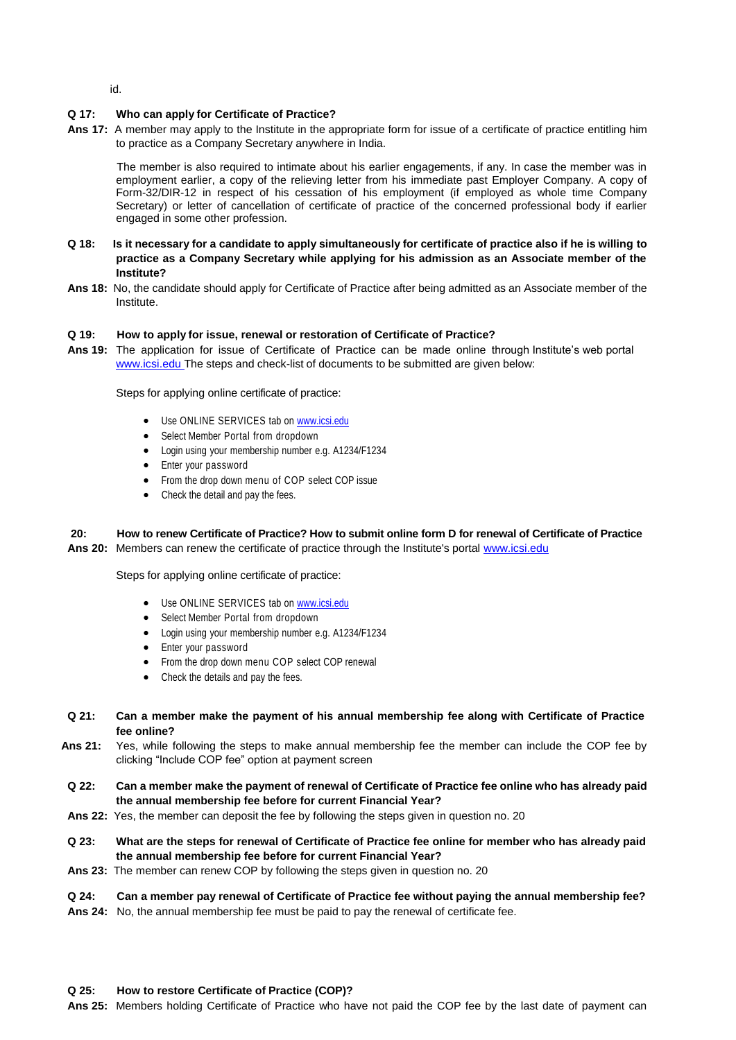id.

# **Q 17: Who can apply for Certificate of Practice?**

**Ans 17:** A member may apply to the Institute in the appropriate form for issue of a certificate of practice entitling him to practice as a Company Secretary anywhere in India.

The member is also required to intimate about his earlier engagements, if any. In case the member was in employment earlier, a copy of the relieving letter from his immediate past Employer Company. A copy of Form-32/DIR-12 in respect of his cessation of his employment (if employed as whole time Company Secretary) or letter of cancellation of certificate of practice of the concerned professional body if earlier engaged in some other profession.

- **Q 18: Is it necessary for a candidate to apply simultaneously for certificate of practice also if he is willing to practice as a Company Secretary while applying for his admission as an Associate member of the Institute?**
- **Ans 18:** No, the candidate should apply for Certificate of Practice after being admitted as an Associate member of the Institute.

### **Q 19: How to apply for issue, renewal or restoration of Certificate of Practice?**

**Ans 19:** The application for issue of Certificate of Practice can be made online through Institute's web portal www.icsi.edu The steps and check-list of documents to be submitted are given below:

Steps for applying online certificate of practice:

- Use ONLINE SERVICES tab on [www.icsi.edu](http://www.icsi.edu/)
- Select Member Portal from dropdown
- Login using your membership number e.g. A1234/F1234
- Enter your password
- From the drop down menu of COP select COP issue
- Check the detail and pay the fees.

# **20: How to renew Certificate of Practice? How to submit online form D for renewal of Certificate of Practice**

**Ans 20:** Members can renew the certificate of practice through the Institute's portal [www.icsi.edu](http://www.icsi.edu/)

Steps for applying online certificate of practice:

- Use ONLINE SERVICES tab on [www.icsi.edu](http://www.icsi.edu/)
- Select Member Portal from dropdown
- Login using your membership number e.g. A1234/F1234
- Enter your password
- From the drop down menu COP select COP renewal
- Check the details and pay the fees.
- Q 21: Can a member make the payment of his annual membership fee along with Certificate of Practice **fee online?**
- **Ans 21:** Yes, while following the steps to make annual membership fee the member can include the COP fee by clicking "Include COP fee" option at payment screen
- **Q 22: Can a member make the payment of renewal of Certificate of Practice fee online who has already paid the annual membership fee before for current Financial Year?**
- **Ans 22:** Yes, the member can deposit the fee by following the steps given in question no. 20
- **Q 23: What are the steps for renewal of Certificate of Practice fee online for member who has already paid the annual membership fee before for current Financial Year?**
- **Ans 23:** The member can renew COP by following the steps given in question no. 20

### **Q 24: Can a member pay renewal of Certificate of Practice fee without paying the annual membership fee?**

**Ans 24:** No, the annual membership fee must be paid to pay the renewal of certificate fee.

### **Q 25: How to restore Certificate of Practice (COP)?**

**Ans 25:** Members holding Certificate of Practice who have not paid the COP fee by the last date of payment can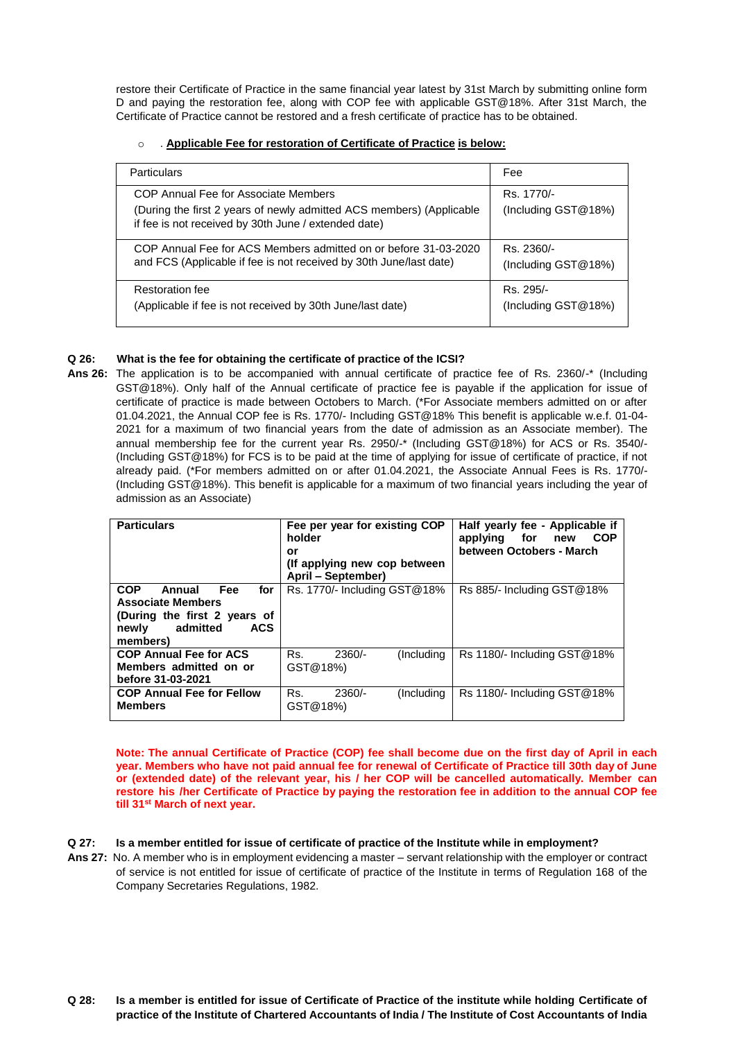restore their Certificate of Practice in the same financial year latest by 31st March by submitting online form D and paying the restoration fee, along with COP fee with applicable GST@18%. After 31st March, the Certificate of Practice cannot be restored and a fresh certificate of practice has to be obtained.

# o . **Applicable Fee for restoration of Certificate of Practice is below:**

| Particulars                                                                                                                                                          | Fee                               |  |  |
|----------------------------------------------------------------------------------------------------------------------------------------------------------------------|-----------------------------------|--|--|
| COP Annual Fee for Associate Members<br>(During the first 2 years of newly admitted ACS members) (Applicable<br>if fee is not received by 30th June / extended date) | Rs. 1770/-<br>(Including GST@18%) |  |  |
| COP Annual Fee for ACS Members admitted on or before 31-03-2020<br>and FCS (Applicable if fee is not received by 30th June/last date)                                | Rs. 2360/-<br>(Including GST@18%) |  |  |
| Restoration fee<br>(Applicable if fee is not received by 30th June/last date)                                                                                        | Rs. 295/-<br>(Including GST@18%)  |  |  |

# **Q 26: What is the fee for obtaining the certificate of practice of the ICSI?**

**Ans 26:** The application is to be accompanied with annual certificate of practice fee of Rs. 2360/-\* (Including GST@18%). Only half of the Annual certificate of practice fee is payable if the application for issue of certificate of practice is made between Octobers to March. (\*For Associate members admitted on or after 01.04.2021, the Annual COP fee is Rs. 1770/- Including GST@18% This benefit is applicable w.e.f. 01-04- 2021 for a maximum of two financial years from the date of admission as an Associate member). The annual membership fee for the current year Rs. 2950/-\* (Including GST@18%) for ACS or Rs. 3540/- (Including GST@18%) for FCS is to be paid at the time of applying for issue of certificate of practice, if not already paid. (\*For members admitted on or after 01.04.2021, the Associate Annual Fees is Rs. 1770/- (Including GST@18%). This benefit is applicable for a maximum of two financial years including the year of admission as an Associate)

| <b>Particulars</b>                                                                                                                            | Fee per year for existing COP<br>holder<br>or<br>(If applying new cop between<br>April – September) | Half yearly fee - Applicable if<br>applying for new<br><b>COP</b><br>between Octobers - March |
|-----------------------------------------------------------------------------------------------------------------------------------------------|-----------------------------------------------------------------------------------------------------|-----------------------------------------------------------------------------------------------|
| <b>COP</b><br>Fee<br>Annual<br>for<br><b>Associate Members</b><br>(During the first 2 years of<br>admitted<br><b>ACS</b><br>newly<br>members) | Rs. 1770/- Including GST@18%                                                                        | Rs 885/- Including GST@18%                                                                    |
| <b>COP Annual Fee for ACS</b><br>Members admitted on or<br>before 31-03-2021                                                                  | Rs.<br>$2360/-$<br>(Including)<br>GST@18%)                                                          | $Rs$ 1180/- Including $GST@18\%$                                                              |
| <b>COP Annual Fee for Fellow</b><br><b>Members</b>                                                                                            | $2360/-$<br>Rs.<br>(Including)<br>GST@18%)                                                          | $Rs$ 1180/- Including $GST@18\%$                                                              |

Note: The annual Certificate of Practice (COP) fee shall become due on the first day of April in each year. Members who have not paid annual fee for renewal of Certificate of Practice till 30th day of June **or (extended date) of the relevant year, his / her COP will be cancelled automatically. Member can restore his /her Certificate of Practice by paying the restoration fee in addition to the annual COP fee till 31st March of next year.**

# Q 27: Is a member entitled for issue of certificate of practice of the Institute while in employment?

**Ans 27:** No. A member who is in employment evidencing a master – servant relationship with the employer or contract of service is not entitled for issue of certificate of practice of the Institute in terms of Regulation 168 of the Company Secretaries Regulations, 1982.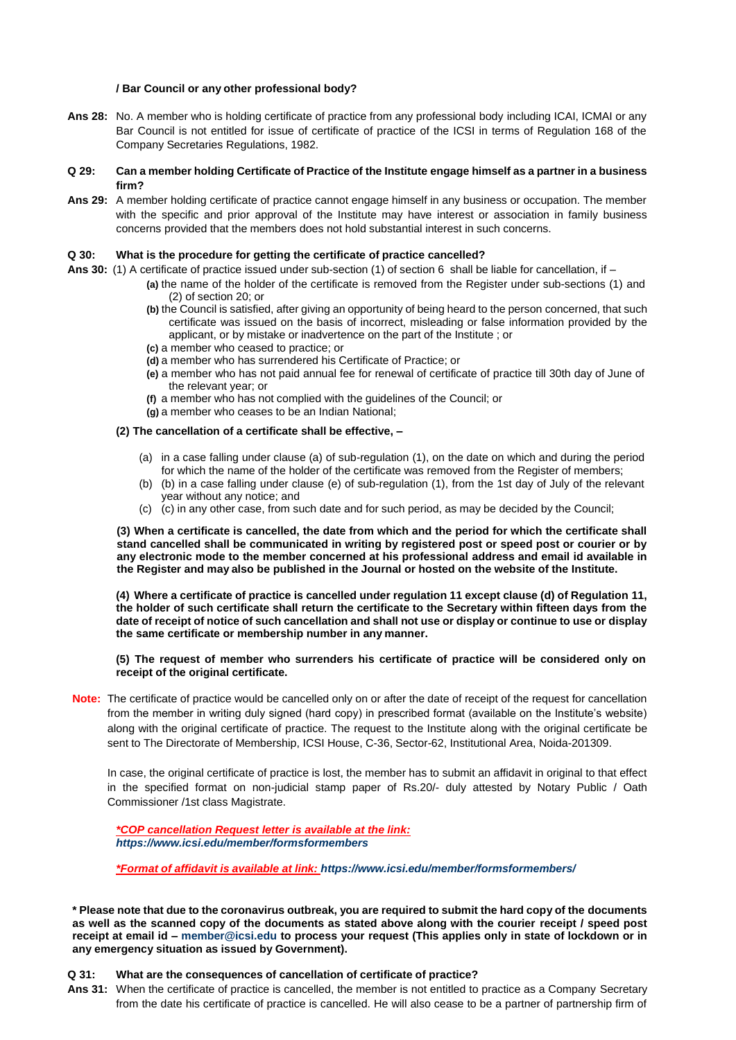### **/ Bar Council or any other professional body?**

**Ans 28:** No. A member who is holding certificate of practice from any professional body including ICAI, ICMAI or any Bar Council is not entitled for issue of certificate of practice of the ICSI in terms of Regulation 168 of the Company Secretaries Regulations, 1982.

### **Q 29: Can a member holding Certificate of Practice of the Institute engage himself as a partner in a business firm?**

**Ans 29:** A member holding certificate of practice cannot engage himself in any business or occupation. The member with the specific and prior approval of the Institute may have interest or association in family business concerns provided that the members does not hold substantial interest in such concerns.

## **Q 30: What is the procedure for getting the certificate of practice cancelled?**

- **Ans 30:** (1) A certificate of practice issued under sub-section (1) of section 6 shall be liable for cancellation, if
	- **(a)** the name of the holder of the certificate is removed from the Register under sub-sections (1) and (2) of section 20; or
		- **(b)** the Council is satisfied, after giving an opportunity of being heard to the person concerned, that such certificate was issued on the basis of incorrect, misleading or false information provided by the applicant, or by mistake or inadvertence on the part of the Institute ; or
		- **(c)** a member who ceased to practice; or
		- **(d)** a member who has surrendered his Certificate of Practice; or
		- **(e)** a member who has not paid annual fee for renewal of certificate of practice till 30th day of June of the relevant year; or
		- **(f)** a member who has not complied with the guidelines of the Council; or
		- **(g)** a member who ceases to be an Indian National;

### **(2) The cancellation of a certificate shall be effective, –**

- (a) in a case falling under clause (a) of sub-regulation (1), on the date on which and during the period for which the name of the holder of the certificate was removed from the Register of members;
- (b) (b) in a case falling under clause (e) of sub-regulation (1), from the 1st day of July of the relevant year without any notice; and
- (c) (c) in any other case, from such date and for such period, as may be decided by the Council;

**(3) When a certificate is cancelled, the date from which and the period for which the certificate shall stand cancelled shall be communicated in writing by registered post or speed post or courier or by any electronic mode to the member concerned at his professional address and email id available in the Register and may also be published in the Journal or hosted on the website of the Institute.**

**(4) Where a certificate of practice is cancelled under regulation 11 except clause (d) of Regulation 11, the holder of such certificate shall return the certificate to the Secretary within fifteen days from the date of receipt of notice of such cancellation and shall not use or display or continue to use or display the same certificate or membership number in any manner.**

### **(5) The request of member who surrenders his certificate of practice will be considered only on receipt of the original certificate.**

**Note:** The certificate of practice would be cancelled only on or after the date of receipt of the request for cancellation from the member in writing duly signed (hard copy) in prescribed format (available on the Institute's website) along with the original certificate of practice. The request to the Institute along with the original certificate be sent to The Directorate of Membership, ICSI House, C-36, Sector-62, Institutional Area, Noida-201309.

In case, the original certificate of practice is lost, the member has to submit an affidavit in original to that effect in the specified format on non-judicial stamp paper of Rs.20/- duly attested by Notary Public / Oath Commissioner /1st class Magistrate.

*\*COP cancellation Request letter is available at the link: <https://www.icsi.edu/member/formsformembers>*

*\*Format of affidavit is available at link: <https://www.icsi.edu/member/formsformembers/>*

**\* Please note that due to the coronavirus outbreak, you are required to submit the hard copy of the documents as well as the scanned copy of the documents as stated above along with the courier receipt / speed post receipt at email id – [member@icsi.edu t](mailto:member@icsi.edu)o process your request (This applies only in state of lockdown or in any emergency situation as issued by Government).**

### **Q 31: What are the consequences of cancellation of certificate of practice?**

**Ans 31:** When the certificate of practice is cancelled, the member is not entitled to practice as a Company Secretary from the date his certificate of practice is cancelled. He will also cease to be a partner of partnership firm of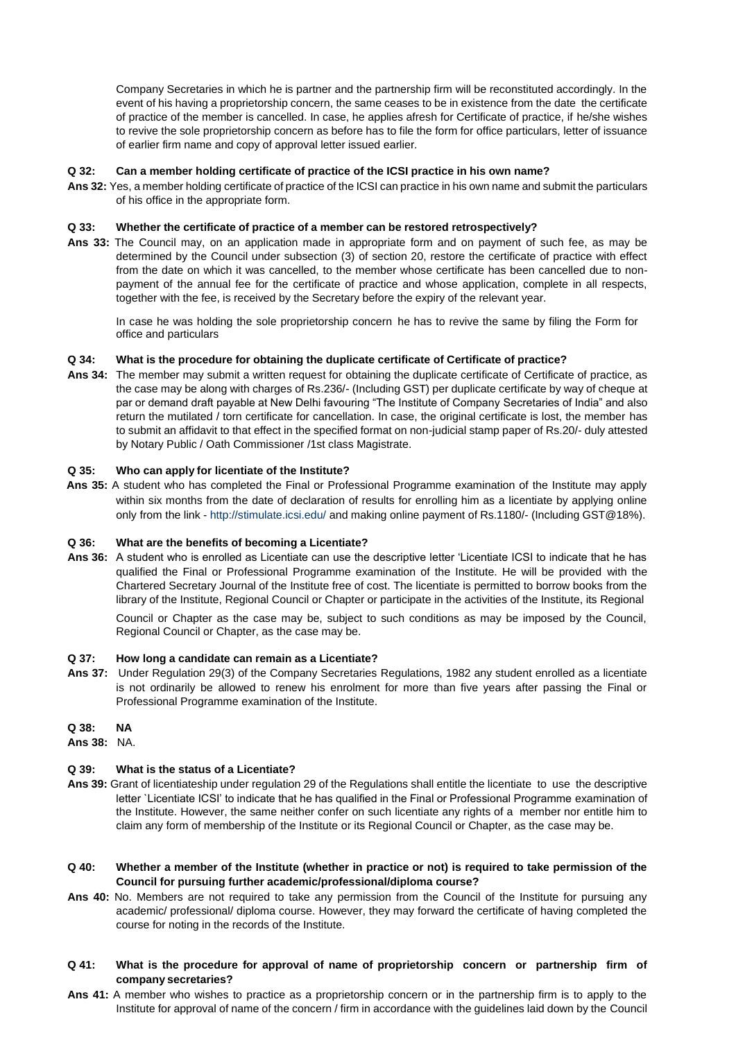Company Secretaries in which he is partner and the partnership firm will be reconstituted accordingly. In the event of his having a proprietorship concern, the same ceases to be in existence from the date the certificate of practice of the member is cancelled. In case, he applies afresh for Certificate of practice, if he/she wishes to revive the sole proprietorship concern as before has to file the form for office particulars, letter of issuance of earlier firm name and copy of approval letter issued earlier.

### **Q 32: Can a member holding certificate of practice of the ICSI practice in his own name?**

**Ans 32:** Yes, a member holding certificate of practice of the ICSI can practice in his own name and submit the particulars of his office in the appropriate form.

## **Q 33: Whether the certificate of practice of a member can be restored retrospectively?**

**Ans 33:** The Council may, on an application made in appropriate form and on payment of such fee, as may be determined by the Council under subsection (3) of section 20, restore the certificate of practice with effect from the date on which it was cancelled, to the member whose certificate has been cancelled due to nonpayment of the annual fee for the certificate of practice and whose application, complete in all respects, together with the fee, is received by the Secretary before the expiry of the relevant year.

In case he was holding the sole proprietorship concern he has to revive the same by filing the Form for office and particulars

## **Q 34: What is the procedure for obtaining the duplicate certificate of Certificate of practice?**

**Ans 34:** The member may submit a written request for obtaining the duplicate certificate of Certificate of practice, as the case may be along with charges of Rs.236/- (Including GST) per duplicate certificate by way of cheque at par or demand draft payable at New Delhi favouring "The Institute of Company Secretaries of India" and also return the mutilated / torn certificate for cancellation. In case, the original certificate is lost, the member has to submit an affidavit to that effect in the specified format on non-judicial stamp paper of Rs.20/- duly attested by Notary Public / Oath Commissioner /1st class Magistrate.

### **Q 35: Who can apply for licentiate of the Institute?**

**Ans 35:** A student who has completed the Final or Professional Programme examination of the Institute may apply within six months from the date of declaration of results for enrolling him as a licentiate by applying online only from the link - <http://stimulate.icsi.edu/> and making online payment of Rs.1180/- (Including GST@18%).

### **Q 36: What are the benefits of becoming a Licentiate?**

**Ans 36:** A student who is enrolled as Licentiate can use the descriptive letter 'Licentiate ICSI to indicate that he has qualified the Final or Professional Programme examination of the Institute. He will be provided with the Chartered Secretary Journal of the Institute free of cost. The licentiate is permitted to borrow books from the library of the Institute, Regional Council or Chapter or participate in the activities of the Institute, its Regional

Council or Chapter as the case may be, subject to such conditions as may be imposed by the Council, Regional Council or Chapter, as the case may be.

### **Q 37: How long a candidate can remain as a Licentiate?**

**Ans 37:** Under Regulation 29(3) of the Company Secretaries Regulations, 1982 any student enrolled as a licentiate is not ordinarily be allowed to renew his enrolment for more than five years after passing the Final or Professional Programme examination of the Institute.

# **Q 38: NA**

**Ans 38:** NA.

### **Q 39: What is the status of a Licentiate?**

- **Ans 39:** Grant of licentiateship under regulation 29 of the Regulations shall entitle the licentiate to use the descriptive letter `Licentiate ICSI' to indicate that he has qualified in the Final or Professional Programme examination of the Institute. However, the same neither confer on such licentiate any rights of a member nor entitle him to claim any form of membership of the Institute or its Regional Council or Chapter, as the case may be.
- **Q 40: Whether a member of the Institute (whether in practice or not) is required to take permission of the Council for pursuing further academic/professional/diploma course?**
- **Ans 40:** No. Members are not required to take any permission from the Council of the Institute for pursuing any academic/ professional/ diploma course. However, they may forward the certificate of having completed the course for noting in the records of the Institute.
- **Q 41: What is the procedure for approval of name of proprietorship concern or partnership firm of company secretaries?**
- **Ans 41:** A member who wishes to practice as a proprietorship concern or in the partnership firm is to apply to the Institute for approval of name of the concern / firm in accordance with the guidelines laid down by the Council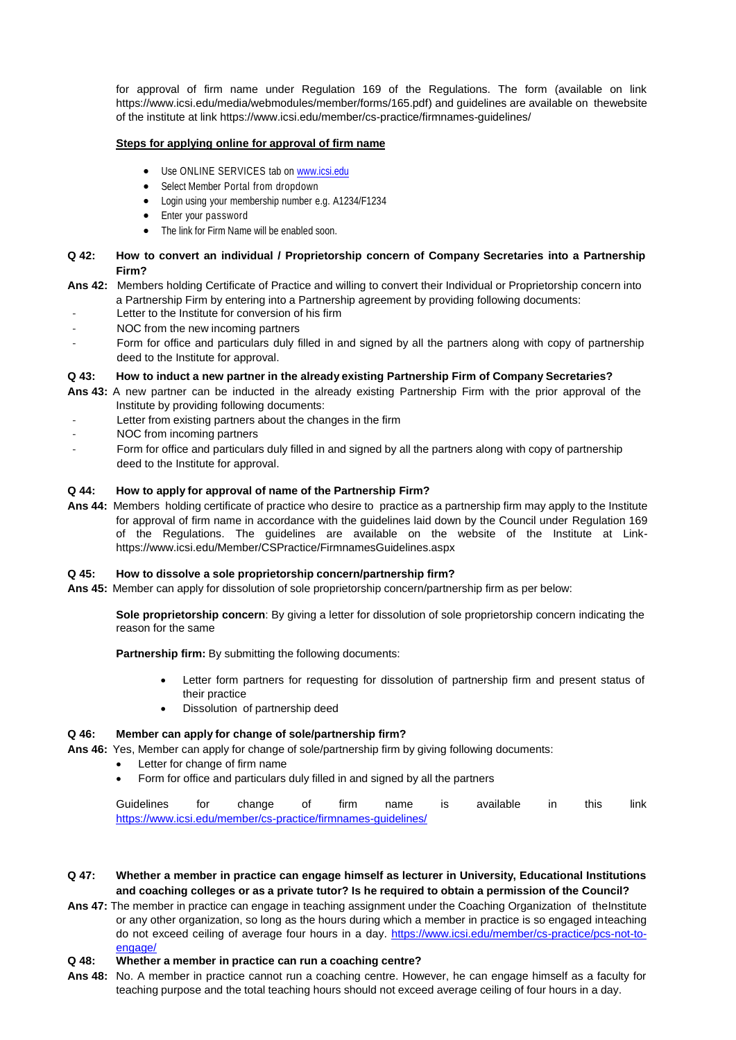for approval of firm name under Regulation 169 of the Regulations. The form (available on link [https://www.icsi.edu/media/webmodules/member/forms/165.pdf\)](https://www.icsi.edu/media/webmodules/member/forms/165.pdf) and guidelines are available on thewebsite of the institute at link<https://www.icsi.edu/member/cs-practice/firmnames-guidelines/>

## **Steps for applying online for approval of firm name**

- Use ONLINE SERVICES tab on [www.icsi.edu](http://www.icsi.edu/)
- Select Member Portal from dropdown
- Login using your membership number e.g. A1234/F1234
- Enter your password
- The link for Firm Name will be enabled soon.

## **Q 42: How to convert an individual / Proprietorship concern of Company Secretaries into a Partnership Firm?**

- **Ans 42:** Members holding Certificate of Practice and willing to convert their Individual or Proprietorship concern into a Partnership Firm by entering into a Partnership agreement by providing following documents:
	- Letter to the Institute for conversion of his firm
- NOC from the new incoming partners
- Form for office and particulars duly filled in and signed by all the partners along with copy of partnership deed to the Institute for approval.

## **Q 43: How to induct a new partner in the already existing Partnership Firm of Company Secretaries?**

- **Ans 43:** A new partner can be inducted in the already existing Partnership Firm with the prior approval of the Institute by providing following documents:
- Letter from existing partners about the changes in the firm
- NOC from incoming partners
- Form for office and particulars duly filled in and signed by all the partners along with copy of partnership deed to the Institute for approval.

## **Q 44: How to apply for approval of name of the Partnership Firm?**

**Ans 44:** Members holding certificate of practice who desire to practice as a partnership firm may apply to the Institute for approval of firm name in accordance with the guidelines laid down by the Council under Regulation 169 of the Regulations. The guidelines are available on the website of the Institute at Linkhttps[://www.icsi.edu/Member/CSPractice/FirmnamesGuidelines.aspx](http://www.icsi.edu/Member/CSPractice/FirmnamesGuidelines.aspx)

# **Q 45: How to dissolve a sole proprietorship concern/partnership firm?**

**Ans 45:** Member can apply for dissolution of sole proprietorship concern/partnership firm as per below:

**Sole proprietorship concern**: By giving a letter for dissolution of sole proprietorship concern indicating the reason for the same

**Partnership firm:** By submitting the following documents:

- Letter form partners for requesting for dissolution of partnership firm and present status of their practice
- Dissolution of partnership deed

### **Q 46: Member can apply for change of sole/partnership firm?**

- **Ans 46:** Yes, Member can apply for change of sole/partnership firm by giving following documents:
	- Letter for change of firm name
	- Form for office and particulars duly filled in and signed by all the partners

| Guidelines                                                    | for | change | firm | name | <b>IS</b> | available | in in | this | link |
|---------------------------------------------------------------|-----|--------|------|------|-----------|-----------|-------|------|------|
| https://www.icsi.edu/member/cs-practice/firmnames-quidelines/ |     |        |      |      |           |           |       |      |      |

- **Q 47: Whether a member in practice can engage himself as lecturer in University, Educational Institutions and coaching colleges or as a private tutor? Is he required to obtain a permission of the Council?**
- **Ans 47:** The member in practice can engage in teaching assignment under the Coaching Organization of theInstitute or any other organization, so long as the hours during which a member in practice is so engaged inteaching do not exceed ceiling of average four hours in a day. [https://www.icsi.edu/member/cs-practice/pcs-not-to](https://www.icsi.edu/member/cs-practice/pcs-not-to-engage/)[engage/](https://www.icsi.edu/member/cs-practice/pcs-not-to-engage/)

# **Q 48: Whether a member in practice can run a coaching centre?**

**Ans 48:** No. A member in practice cannot run a coaching centre. However, he can engage himself as a faculty for teaching purpose and the total teaching hours should not exceed average ceiling of four hours in a day.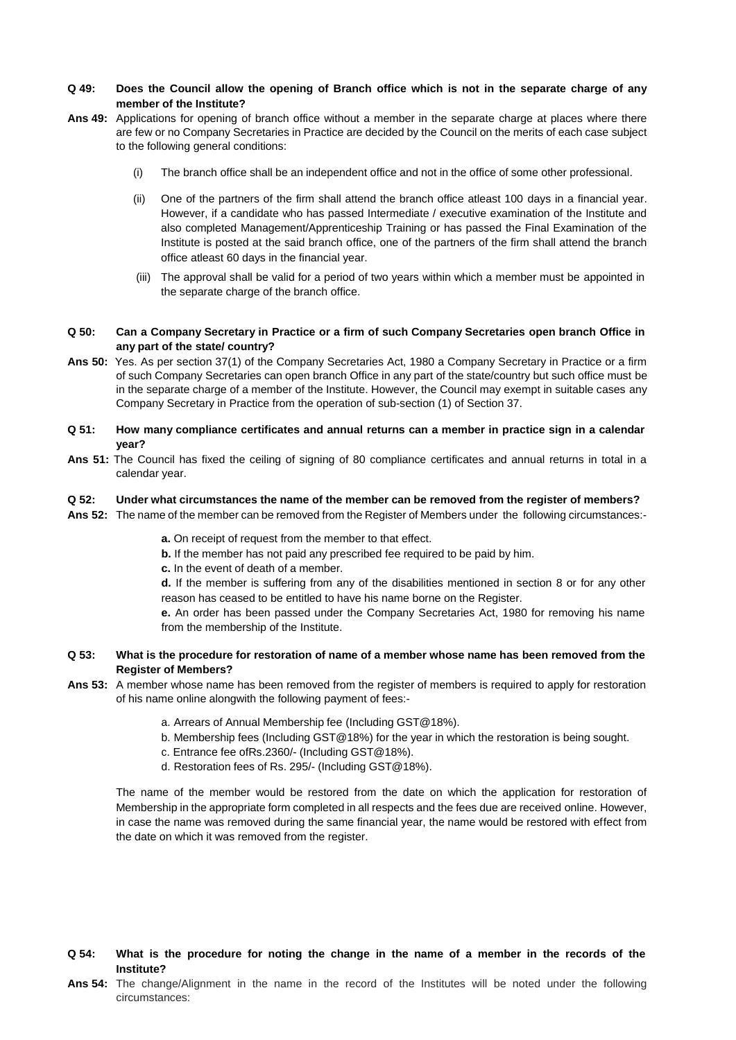## **Q 49: Does the Council allow the opening of Branch office which is not in the separate charge of any member of the Institute?**

- **Ans 49:** Applications for opening of branch office without a member in the separate charge at places where there are few or no Company Secretaries in Practice are decided by the Council on the merits of each case subject to the following general conditions:
	- (i) The branch office shall be an independent office and not in the office of some other professional.
	- (ii) One of the partners of the firm shall attend the branch office atleast 100 days in a financial year. However, if a candidate who has passed Intermediate / executive examination of the Institute and also completed Management/Apprenticeship Training or has passed the Final Examination of the Institute is posted at the said branch office, one of the partners of the firm shall attend the branch office atleast 60 days in the financial year.
	- (iii) The approval shall be valid for a period of two years within which a member must be appointed in the separate charge of the branch office.
- **Q 50: Can a Company Secretary in Practice or a firm of such Company Secretaries open branch Office in any part of the state/ country?**
- **Ans 50:** Yes. As per section 37(1) of the Company Secretaries Act, 1980 a Company Secretary in Practice or a firm of such Company Secretaries can open branch Office in any part of the state/country but such office must be in the separate charge of a member of the Institute. However, the Council may exempt in suitable cases any Company Secretary in Practice from the operation of sub-section (1) of Section 37.
- Q 51: How many compliance certificates and annual returns can a member in practice sign in a calendar **year?**
- **Ans 51:** The Council has fixed the ceiling of signing of 80 compliance certificates and annual returns in total in a calendar year.

#### **Q 52: Under what circumstances the name of the member can be removed from the register of members?**

**Ans 52:** The name of the member can be removed from the Register of Members under the following circumstances:-

**a.** On receipt of request from the member to that effect.

- **b.** If the member has not paid any prescribed fee required to be paid by him.
- **c.** In the event of death of a member.

**d.** If the member is suffering from any of the disabilities mentioned in section 8 or for any other reason has ceased to be entitled to have his name borne on the Register.

**e.** An order has been passed under the Company Secretaries Act, 1980 for removing his name from the membership of the Institute.

- **Q 53: What is the procedure for restoration of name of a member whose name has been removed from the Register of Members?**
- **Ans 53:** A member whose name has been removed from the register of members is required to apply for restoration of his name online alongwith the following payment of fees:
	- a. Arrears of Annual Membership fee (Including GST@18%).
	- b. Membership fees (Including GST@18%) for the year in which the restoration is being sought.
	- c. Entrance fee ofRs.2360/- (Including GST@18%).
	- d. Restoration fees of Rs. 295/- (Including GST@18%).

The name of the member would be restored from the date on which the application for restoration of Membership in the appropriate form completed in all respects and the fees due are received online. However, in case the name was removed during the same financial year, the name would be restored with effect from the date on which it was removed from the register.

- Q 54: What is the procedure for noting the change in the name of a member in the records of the **Institute?**
- **Ans 54:** The change/Alignment in the name in the record of the Institutes will be noted under the following circumstances: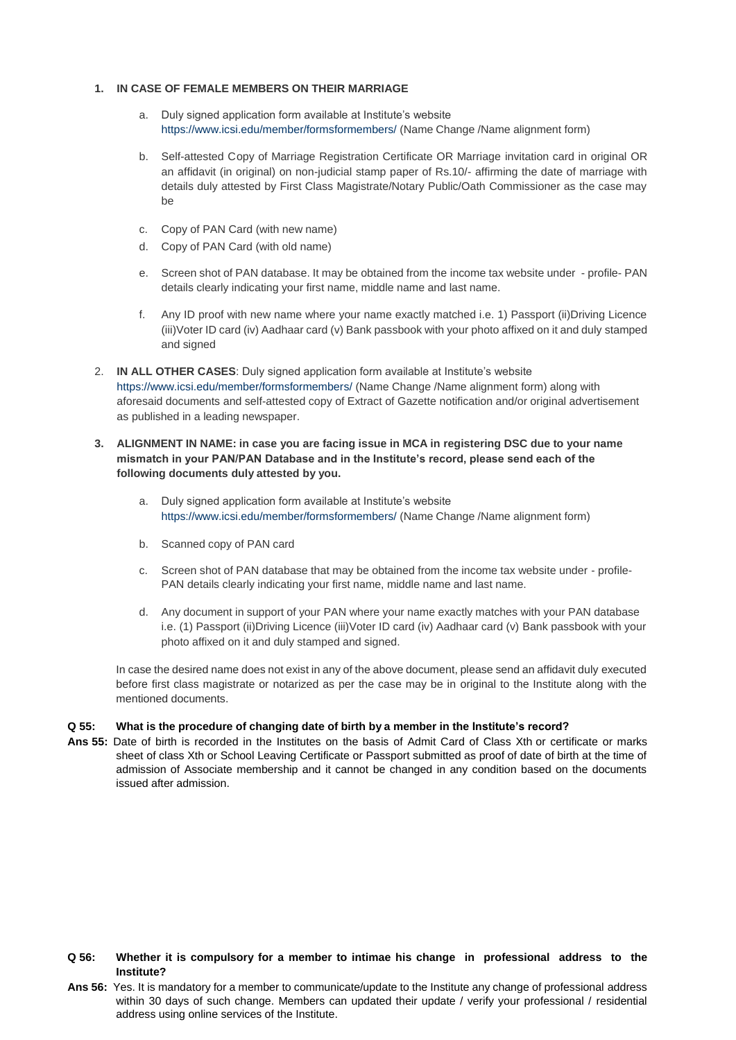# **1. IN CASE OF FEMALE MEMBERS ON THEIR MARRIAGE**

- a. Duly signed application form available at Institute's website <https://www.icsi.edu/member/formsformembers/> (Name Change /Name alignment form)
- b. Self-attested Copy of Marriage Registration Certificate OR Marriage invitation card in original OR an affidavit (in original) on non-judicial stamp paper of Rs.10/- affirming the date of marriage with details duly attested by First Class Magistrate/Notary Public/Oath Commissioner as the case may be
- c. Copy of PAN Card (with new name)
- d. Copy of PAN Card (with old name)
- e. Screen shot of PAN database. It may be obtained from the income tax website under profile- PAN details clearly indicating your first name, middle name and last name.
- f. Any ID proof with new name where your name exactly matched i.e. 1) Passport (ii)Driving Licence (iii)Voter ID card (iv) Aadhaar card (v) Bank passbook with your photo affixed on it and duly stamped and signed
- 2. **IN ALL OTHER CASES**: Duly signed application form available at Institute's website [https://www.icsi.edu/member/formsformembers/ \(](https://www.icsi.edu/member/formsformembers/)Name Change /Name alignment form) along with aforesaid documents and self-attested copy of Extract of Gazette notification and/or original advertisement as published in a leading newspaper.
- 3. ALIGNMENT IN NAME: in case you are facing issue in MCA in registering DSC due to your name **mismatch in your PAN/PAN Database and in the Institute's record, please send each of the following documents duly attested by you.**
	- a. Duly signed application form available at Institute's website <https://www.icsi.edu/member/formsformembers/> (Name Change /Name alignment form)
	- b. Scanned copy of PAN card
	- c. Screen shot of PAN database that may be obtained from the income tax website under profile-PAN details clearly indicating your first name, middle name and last name.
	- d. Any document in support of your PAN where your name exactly matches with your PAN database i.e. (1) Passport (ii)Driving Licence (iii)Voter ID card (iv) Aadhaar card (v) Bank passbook with your photo affixed on it and duly stamped and signed.

In case the desired name does not exist in any of the above document, please send an affidavit duly executed before first class magistrate or notarized as per the case may be in original to the Institute along with the mentioned documents.

## **Q 55: What is the procedure of changing date of birth by a member in the Institute's record?**

**Ans 55:** Date of birth is recorded in the Institutes on the basis of Admit Card of Class Xth or certificate or marks sheet of class Xth or School Leaving Certificate or Passport submitted as proof of date of birth at the time of admission of Associate membership and it cannot be changed in any condition based on the documents issued after admission.

# **Q 56: Whether it is compulsory for a member to intimae his change in professional address to the Institute?**

**Ans 56:** Yes. It is mandatory for a member to communicate/update to the Institute any change of professional address within 30 days of such change. Members can updated their update / verify your professional / residential address using online services of the Institute.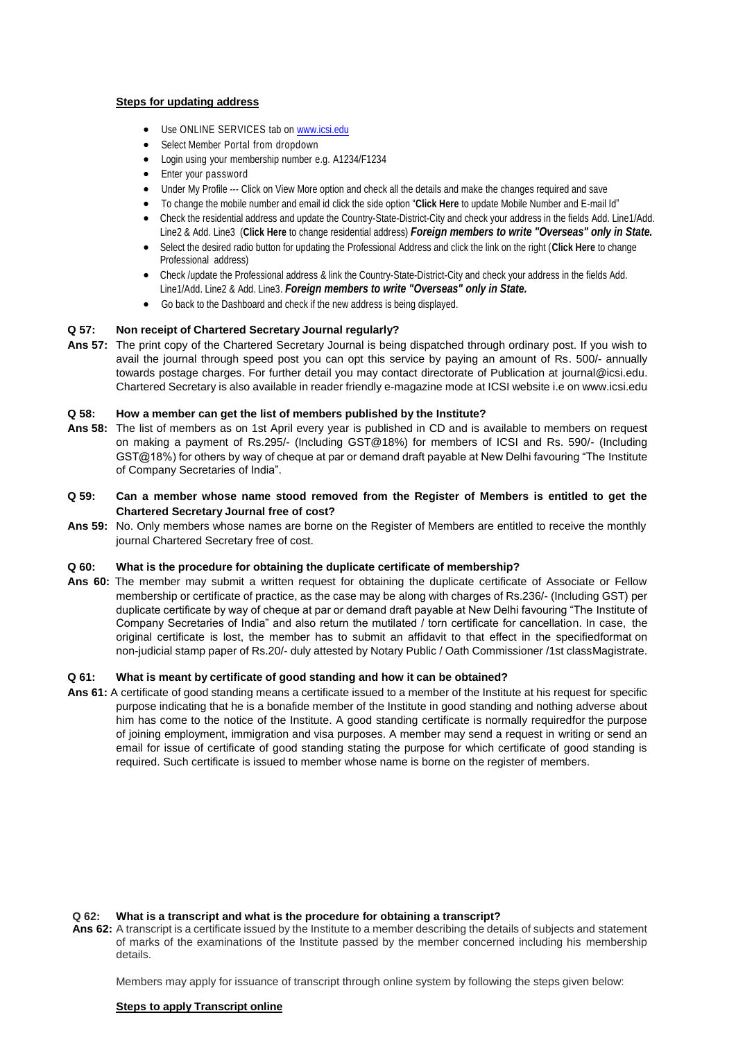# **Steps for updating address**

- Use ONLINE SERVICES tab on [www.icsi.edu](http://www.icsi.edu/)
- Select Member Portal from dropdown
- Login using your membership number e.g. A1234/F1234
- Enter your password
- Under My Profile --- Click on View More option and check all the details and make the changes required and save
- To change the mobile number and email id click the side option "**Click Here** to update Mobile Number and E-mail Id"
- Check the residential address and update the Country-State-District-City and check your address in the fields Add. Line1/Add. Line2 & Add. Line3 (**Click Here** to change residential address) *Foreign members to write "Overseas" only in State.*
- Select the desired radio button for updating the Professional Address and click the link on the right (**Click Here** to change Professional address)
- Check /update the Professional address & link the Country-State-District-City and check your address in the fields Add. Line1/Add. Line2 & Add. Line3. *Foreign members to write "Overseas" only in State.*
- Go back to the Dashboard and check if the new address is being displayed.

#### **Q 57: Non receipt of Chartered Secretary Journal regularly?**

**Ans 57:** The print copy of the Chartered Secretary Journal is being dispatched through ordinary post. If you wish to avail the journal through speed post you can opt this service by paying an amount of Rs. 500/- annually towards postage charges. For further detail you may contact directorate of Publication at [journal@icsi.edu.](mailto:journal@icsi.edu) Chartered Secretary is also available in reader friendly e-magazine mode at ICSI website i.e on [www.icsi.edu](http://www.icsi.edu/)

### **Q 58: How a member can get the list of members published by the Institute?**

- **Ans 58:** The list of members as on 1st April every year is published in CD and is available to members on request on making a payment of Rs.295/- (Including GST@18%) for members of ICSI and Rs. 590/- (Including GST@18%) for others by way of cheque at par or demand draft payable at New Delhi favouring "The Institute of Company Secretaries of India".
- **Q 59: Can a member whose name stood removed from the Register of Members is entitled to get the Chartered Secretary Journal free of cost?**
- **Ans 59:** No. Only members whose names are borne on the Register of Members are entitled to receive the monthly journal Chartered Secretary free of cost.

## **Q 60: What is the procedure for obtaining the duplicate certificate of membership?**

**Ans 60:** The member may submit a written request for obtaining the duplicate certificate of Associate or Fellow membership or certificate of practice, as the case may be along with charges of Rs.236/- (Including GST) per duplicate certificate by way of cheque at par or demand draft payable at New Delhi favouring "The Institute of Company Secretaries of India" and also return the mutilated / torn certificate for cancellation. In case, the original certificate is lost, the member has to submit an affidavit to that effect in the specifiedformat on non-judicial stamp paper of Rs.20/- duly attested by Notary Public / Oath Commissioner /1st classMagistrate.

### **Q 61: What is meant by certificate of good standing and how it can be obtained?**

**Ans 61:** A certificate of good standing means a certificate issued to a member of the Institute at his request for specific purpose indicating that he is a bonafide member of the Institute in good standing and nothing adverse about him has come to the notice of the Institute. A good standing certificate is normally requiredfor the purpose of joining employment, immigration and visa purposes. A member may send a request in writing or send an email for issue of certificate of good standing stating the purpose for which certificate of good standing is required. Such certificate is issued to member whose name is borne on the register of members.

## **Q 62: What is a transcript and what is the procedure for obtaining a transcript?**

**Ans 62:** A transcript is a certificate issued by the Institute to a member describing the details of subjects and statement of marks of the examinations of the Institute passed by the member concerned including his membership details.

Members may apply for issuance of transcript through online system by following the steps given below:

# **Steps to apply Transcript online**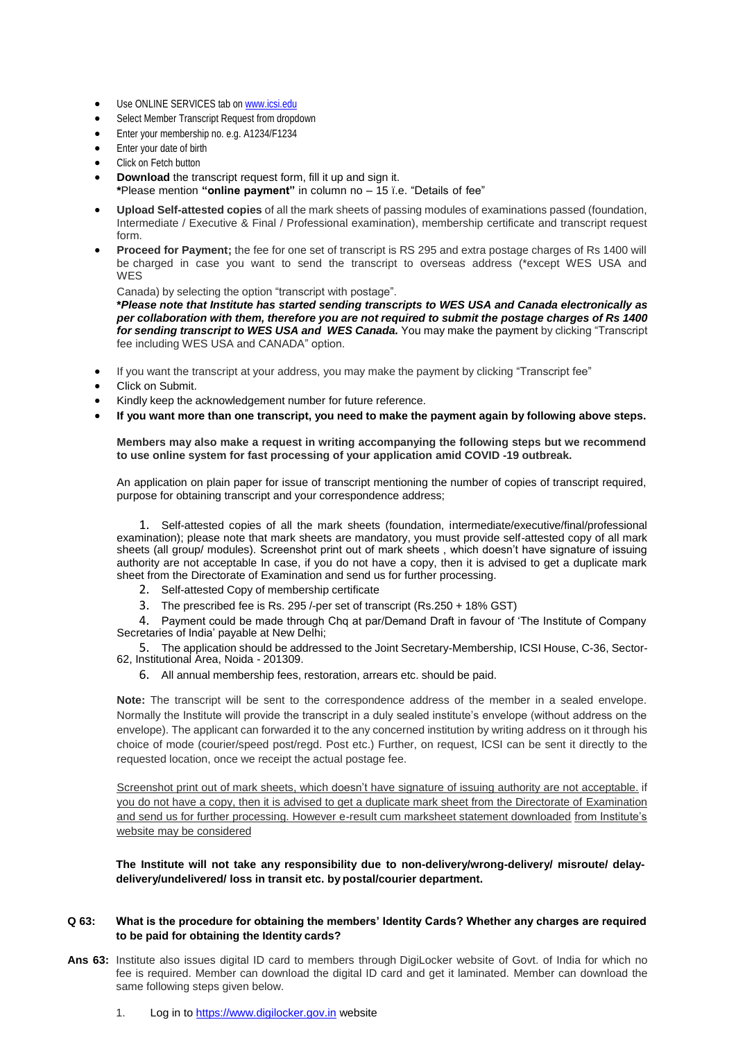- Use ONLINE SERVICES tab on [www.icsi.edu](http://www.icsi.edu/)
- Select Member Transcript Request from dropdown
- Enter your membership no. e.g. A1234/F1234
- Enter your date of birth
- Click on Fetch button
- **Download** the transcript request form, fill it up and sign it.
- **\***Please mention **"online payment"** in column no 15 ï.e. "Details of fee"
- **Upload Self-attested copies** of all the mark sheets of passing modules of examinations passed (foundation, Intermediate / Executive & Final / Professional examination), membership certificate and transcript request form.
- **Proceed for Payment;** the fee for one set of transcript is RS 295 and extra postage charges of Rs 1400 will be charged in case you want to send the transcript to overseas address (\*except WES USA and WES

Canada) by selecting the option "transcript with postage".

**\****Please note that Institute has started sending transcripts to WES USA and Canada electronically as per collaboration with them, therefore you are not required to submit the postage charges of Rs 1400 for sending transcript to WES USA and WES Canada.* You may make the payment by clicking "Transcript fee including WES USA and CANADA" option.

- If you want the transcript at your address, you may make the payment by clicking "Transcript fee"
- Click on Submit.
- Kindly keep the acknowledgement number for future reference.
- **If you want more than one transcript, you need to make the payment again by following above steps.**

**Members may also make a request in writing accompanying the following steps but we recommend to use online system for fast processing of your application amid COVID -19 outbreak.**

An application on plain paper for issue of transcript mentioning the number of copies of transcript required, purpose for obtaining transcript and your correspondence address;

1. Self-attested copies of all the mark sheets (foundation, intermediate/executive/final/professional examination); please note that mark sheets are mandatory, you must provide self-attested copy of all mark sheets (all group/ modules). Screenshot print out of mark sheets , which doesn't have signature of issuing authority are not acceptable In case, if you do not have a copy, then it is advised to get a duplicate mark sheet from the Directorate of Examination and send us for further processing.

- 2. Self-attested Copy of membership certificate
- 3. The prescribed fee is Rs. 295 /-per set of transcript (Rs.250 + 18% GST)

4. Payment could be made through Chq at par/Demand Draft in favour of 'The Institute of Company Secretaries of India' payable at New Delhi;

5. The application should be addressed to the Joint Secretary-Membership, ICSI House, C-36, Sector-62, Institutional Area, Noida - 201309.

6. All annual membership fees, restoration, arrears etc. should be paid.

**Note:** The transcript will be sent to the correspondence address of the member in a sealed envelope. Normally the Institute will provide the transcript in a duly sealed institute's envelope (without address on the envelope). The applicant can forwarded it to the any concerned institution by writing address on it through his choice of mode (courier/speed post/regd. Post etc.) Further, on request, ICSI can be sent it directly to the requested location, once we receipt the actual postage fee.

Screenshot print out of mark sheets, which doesn't have signature of issuing authority are not acceptable, if you do not have a copy, then it is advised to get a duplicate mark sheet from the Directorate of Examination and send us for further processing. However e-result cum marksheet statement downloaded from Institute's website may be considered

**The Institute will not take any responsibility due to non-delivery/wrong-delivery/ misroute/ delaydelivery/undelivered/ loss in transit etc. by postal/courier department.**

### **Q 63: What is the procedure for obtaining the members' Identity Cards? Whether any charges are required to be paid for obtaining the Identity cards?**

- **Ans 63:** Institute also issues digital ID card to members through DigiLocker website of Govt. of India for which no fee is required. Member can download the digital ID card and get it laminated. Member can download the same following steps given below.
	- 1. Log in t[o https://www.digilocker.gov.in](https://www.digilocker.gov.in/) website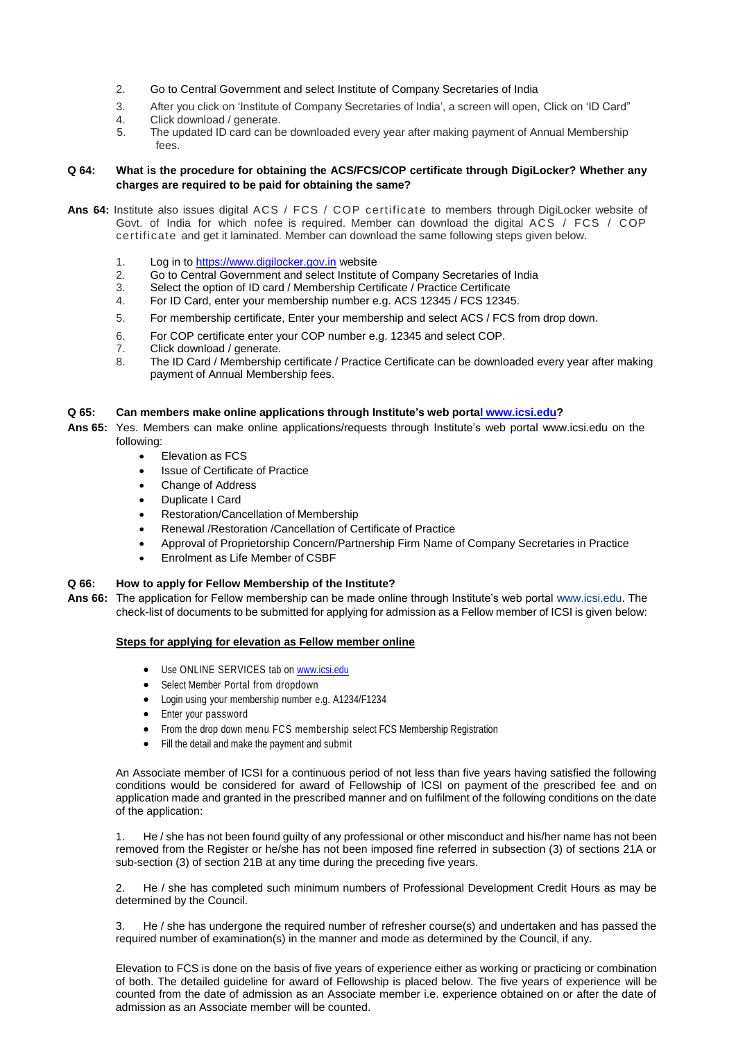- 2. Go to Central Government and select Institute of Company Secretaries of India
- 3. After you click on 'Institute of Company Secretaries of India', a screen will open, Click on 'ID Card"<br>4. Click download / generate
- 4. Click download / generate.<br>5. The undated ID card can be
- The updated ID card can be downloaded every year after making payment of Annual Membership fees.

## **Q 64: What is the procedure for obtaining the ACS/FCS/COP certificate through DigiLocker? Whether any charges are required to be paid for obtaining the same?**

- **Ans 64:** Institute also issues digital ACS / FCS / COP certificate to members through DigiLocker website of Govt. of India for which nofee is required. Member can download the digital ACS / FCS / COP certificate and get it laminated. Member can download the same following steps given below.
	- 1. Log in t[o https://www.digilocker.gov.in](https://www.digilocker.gov.in/) website<br>2. Go to Central Government and select Institute
	- 2. Go to Central Government and select Institute of Company Secretaries of India<br>3. Select the option of ID card / Membership Certificate / Practice Certificate
	- Select the option of ID card / Membership Certificate / Practice Certificate
	- 4. For ID Card, enter your membership number e.g. ACS 12345 / FCS 12345.
	- 5. For membership certificate, Enter your membership and select ACS / FCS from drop down.
	- 6. For COP certificate enter your COP number e.g. 12345 and select COP.
	- 7. Click download / generate.<br>8. The ID Card / Membership
	- The ID Card / Membership certificate / Practice Certificate can be downloaded every year after making payment of Annual Membership fees.

# **Q 65: Can members make online applications through Institute's web portal www.icsi.edu?**

**Ans 65:** Yes. Members can make online applications/requests through Institute's web portal [www.icsi.edu](http://www.icsi.edu/) on the following:

- Elevation as FCS
- Issue of Certificate of Practice
- Change of Address
- Duplicate I Card
- Restoration/Cancellation of Membership
- Renewal /Restoration /Cancellation of Certificate of Practice
- Approval of Proprietorship Concern/Partnership Firm Name of Company Secretaries in Practice
- Enrolment as Life Member of CSBF

# **Q 66: How to apply for Fellow Membership of the Institute?**

**Ans 66:** The application for Fellow membership can be made online through Institute's web portal [www.icsi.edu. T](http://www.icsi.edu/)he check-list of documents to be submitted for applying for admission as a Fellow member of ICSI is given below:

# **Steps for applying for elevation as Fellow member online**

- Use ONLINE SERVICES tab on [www.icsi.edu](http://www.icsi.edu/)
- Select Member Portal from dropdown
- Login using your membership number e.g. A1234/F1234
- Enter your password
- From the drop down menu FCS membership select FCS Membership Registration
- Fill the detail and make the payment and submit

An Associate member of ICSI for a continuous period of not less than five years having satisfied the following conditions would be considered for award of Fellowship of ICSI on payment of the prescribed fee and on application made and granted in the prescribed manner and on fulfilment of the following conditions on the date of the application:

1. He / she has not been found guilty of any professional or other misconduct and his/her name has not been removed from the Register or he/she has not been imposed fine referred in subsection (3) of sections 21A or sub-section (3) of section 21B at any time during the preceding five years.

2. He / she has completed such minimum numbers of Professional Development Credit Hours as may be determined by the Council.

3. He / she has undergone the required number of refresher course(s) and undertaken and has passed the required number of examination(s) in the manner and mode as determined by the Council, if any.

Elevation to FCS is done on the basis of five years of experience either as working or practicing or combination of both. The detailed guideline for award of Fellowship is placed below. The five years of experience will be counted from the date of admission as an Associate member i.e. experience obtained on or after the date of admission as an Associate member will be counted.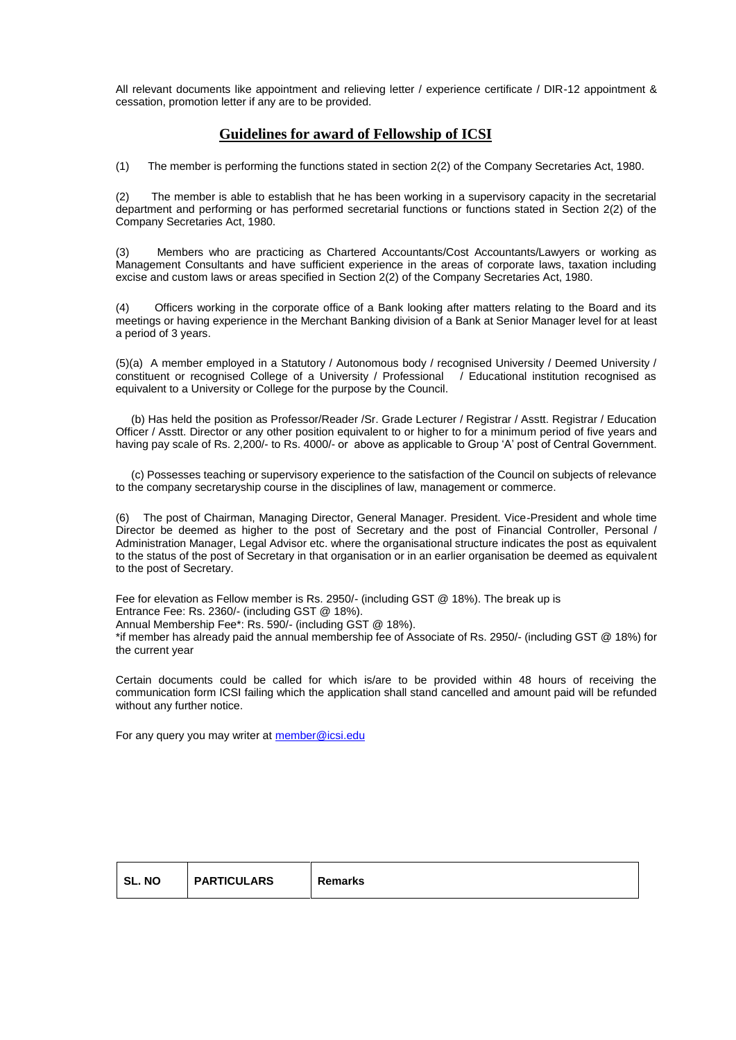All relevant documents like appointment and relieving letter / experience certificate / DIR-12 appointment & cessation, promotion letter if any are to be provided.

# **Guidelines for award of Fellowship of ICSI**

(1) The member is performing the functions stated in section 2(2) of the Company Secretaries Act, 1980.

(2) The member is able to establish that he has been working in a supervisory capacity in the secretarial department and performing or has performed secretarial functions or functions stated in Section 2(2) of the Company Secretaries Act, 1980.

(3) Members who are practicing as Chartered Accountants/Cost Accountants/Lawyers or working as Management Consultants and have sufficient experience in the areas of corporate laws, taxation including excise and custom laws or areas specified in Section 2(2) of the Company Secretaries Act, 1980.

(4) Officers working in the corporate office of a Bank looking after matters relating to the Board and its meetings or having experience in the Merchant Banking division of a Bank at Senior Manager level for at least a period of 3 years.

(5)(a) A member employed in a Statutory / Autonomous body / recognised University / Deemed University / constituent or recognised College of a University / Professional | Educational institution recognised as equivalent to a University or College for the purpose by the Council.

 (b) Has held the position as Professor/Reader /Sr. Grade Lecturer / Registrar / Asstt. Registrar / Education Officer / Asstt. Director or any other position equivalent to or higher to for a minimum period of five years and having pay scale of Rs. 2,200/- to Rs. 4000/- or above as applicable to Group 'A' post of Central Government.

 (c) Possesses teaching or supervisory experience to the satisfaction of the Council on subjects of relevance to the company secretaryship course in the disciplines of law, management or commerce.

(6) The post of Chairman, Managing Director, General Manager. President. Vice-President and whole time Director be deemed as higher to the post of Secretary and the post of Financial Controller, Personal / Administration Manager, Legal Advisor etc. where the organisational structure indicates the post as equivalent to the status of the post of Secretary in that organisation or in an earlier organisation be deemed as equivalent to the post of Secretary.

Fee for elevation as Fellow member is Rs. 2950/- (including GST @ 18%). The break up is Entrance Fee: Rs. 2360/- (including GST @ 18%). Annual Membership Fee\*: Rs. 590/- (including GST @ 18%).

\*if member has already paid the annual membership fee of Associate of Rs. 2950/- (including GST @ 18%) for the current year

Certain documents could be called for which is/are to be provided within 48 hours of receiving the communication form ICSI failing which the application shall stand cancelled and amount paid will be refunded without any further notice.

For any query you may writer a[t member@icsi.edu](mailto:member@icsi.edu)

| <b>PARTICULARS</b><br><b>SL.NO</b><br>Remarks |  |
|-----------------------------------------------|--|
|-----------------------------------------------|--|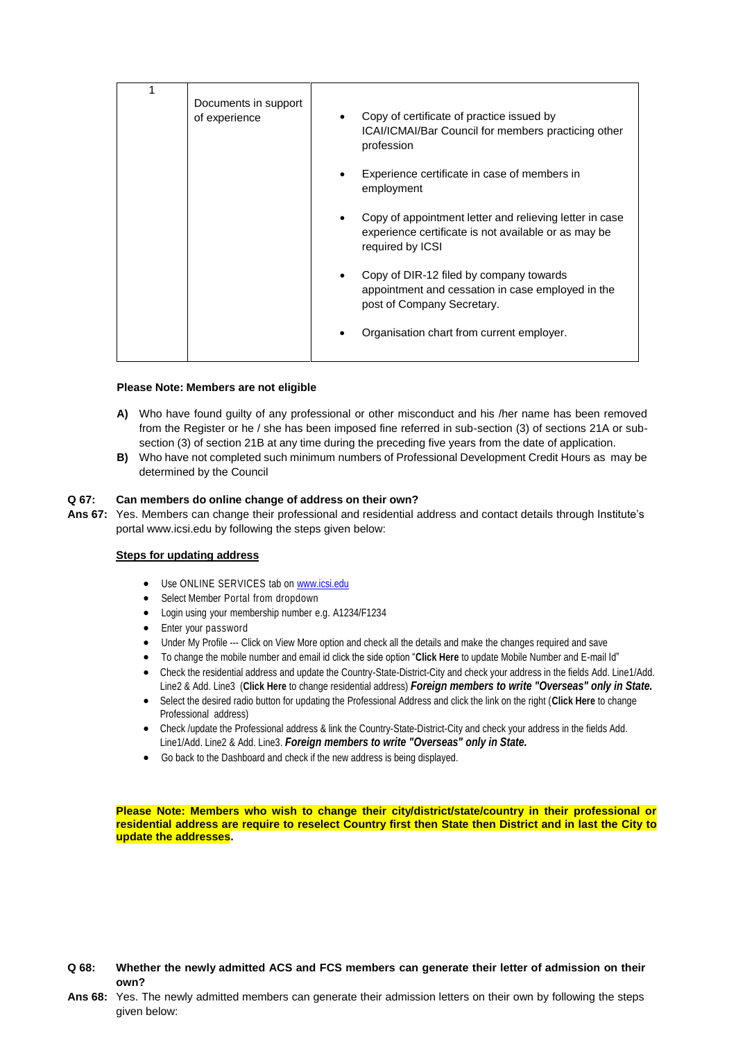### **Please Note: Members are not eligible**

- **A)** Who have found guilty of any professional or other misconduct and his /her name has been removed from the Register or he / she has been imposed fine referred in sub-section (3) of sections 21A or subsection (3) of section 21B at any time during the preceding five years from the date of application.
- **B)** Who have not completed such minimum numbers of Professional Development Credit Hours as may be determined by the Council

## **Q 67: Can members do online change of address on their own?**

**Ans 67:** Yes. Members can change their professional and residential address and contact details through Institute's portal [www.icsi.edu b](http://www.icsi.edu/)y following the steps given below:

### **Steps for updating address**

- Use ONLINE SERVICES tab on [www.icsi.edu](http://www.icsi.edu/)
- Select Member Portal from dropdown
- Login using your membership number e.g. A1234/F1234
- Enter your password
- Under My Profile --- Click on View More option and check all the details and make the changes required and save
- To change the mobile number and email id click the side option "**Click Here** to update Mobile Number and E-mail Id"
- Check the residential address and update the Country-State-District-City and check your address in the fields Add. Line1/Add. Line2 & Add. Line3 (**Click Here** to change residential address) *Foreign members to write "Overseas" only in State.*
- Select the desired radio button for updating the Professional Address and click the link on the right (**Click Here** to change Professional address)
- Check /update the Professional address & link the Country-State-District-City and check your address in the fields Add. Line1/Add. Line2 & Add. Line3. *Foreign members to write "Overseas" only in State.*
- Go back to the Dashboard and check if the new address is being displayed.

**Please Note: Members who wish to change their city/district/state/country in their professional or residential address are require to reselect Country first then State then District and in last the City to update the addresses.**

# Q 68: Whether the newly admitted ACS and FCS members can generate their letter of admission on their **own?**

**Ans 68:** Yes. The newly admitted members can generate their admission letters on their own by following the steps given below: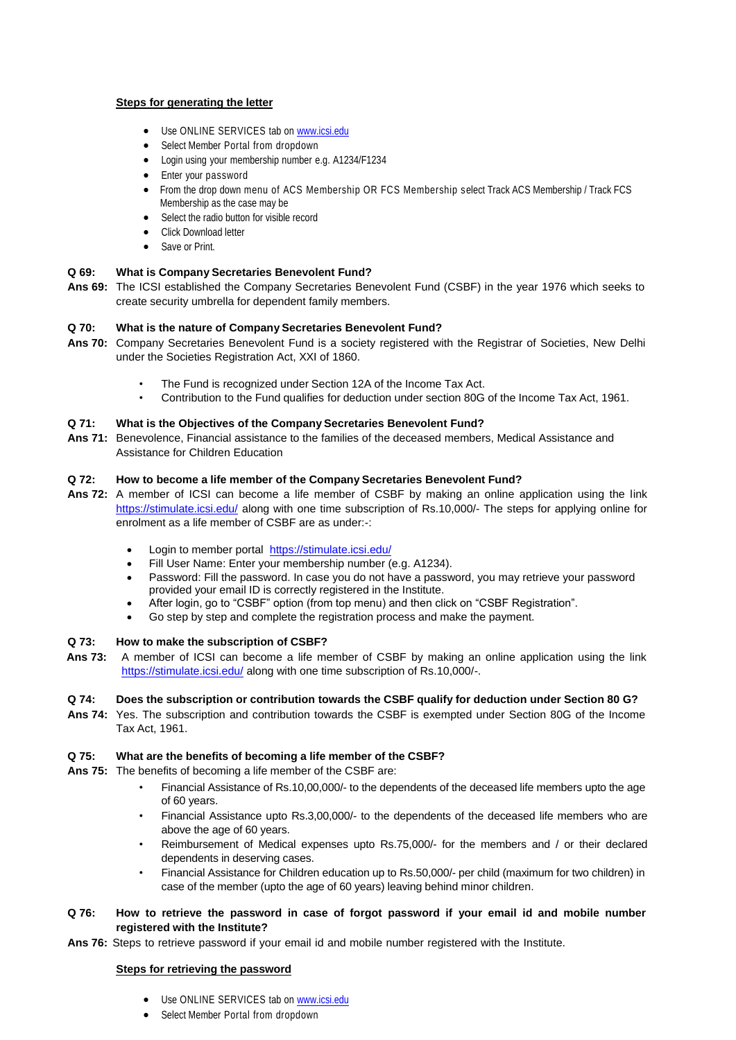## **Steps for generating the letter**

- Use ONLINE SERVICES tab on [www.icsi.edu](http://www.icsi.edu/)
- Select Member Portal from dropdown
- Login using your membership number e.g. A1234/F1234
- Enter your password
- From the drop down menu of ACS Membership OR FCS Membership select Track ACS Membership / Track FCS Membership as the case may be
- Select the radio button for visible record
- Click Download letter
- Save or Print.

# **Q 69: What is Company Secretaries Benevolent Fund?**

**Ans 69:** The ICSI established the Company Secretaries Benevolent Fund (CSBF) in the year 1976 which seeks to create security umbrella for dependent family members.

### **Q 70: What is the nature of Company Secretaries Benevolent Fund?**

- **Ans 70:** Company Secretaries Benevolent Fund is a society registered with the Registrar of Societies, New Delhi under the Societies Registration Act, XXI of 1860.
	- The Fund is recognized under Section 12A of the Income Tax Act.
	- Contribution to the Fund qualifies for deduction under section 80G of the Income Tax Act, 1961.

## **Q 71: What is the Objectives of the Company Secretaries Benevolent Fund?**

**Ans 71:** Benevolence, Financial assistance to the families of the deceased members, Medical Assistance and Assistance for Children Education

## **Q 72: How to become a life member of the Company Secretaries Benevolent Fund?**

- **Ans 72:** A member of ICSI can become a life member of CSBF by making an online application using the link <https://stimulate.icsi.edu/> along with one time subscription of Rs.10,000/- The steps for applying online for enrolment as a life member of CSBF are as under:-:
	- Login to member portal <https://stimulate.icsi.edu/>
	- Fill User Name: Enter your membership number (e.g. A1234).
	- Password: Fill the password. In case you do not have a password, you may retrieve your password provided your email ID is correctly registered in the Institute.
	- After login, go to "CSBF" option (from top menu) and then click on "CSBF Registration".
	- Go step by step and complete the registration process and make the payment.

### **Q 73: How to make the subscription of CSBF?**

**Ans 73:** A member of ICSI can become a life member of CSBF by making an online application using the link <https://stimulate.icsi.edu/> along with one time subscription of Rs.10,000/-.

### **Q 74: Does the subscription or contribution towards the CSBF qualify for deduction under Section 80 G?**

**Ans 74:** Yes. The subscription and contribution towards the CSBF is exempted under Section 80G of the Income Tax Act, 1961.

### **Q 75: What are the benefits of becoming a life member of the CSBF?**

- **Ans 75:** The benefits of becoming a life member of the CSBF are:
	- Financial Assistance of Rs.10,00,000/- to the dependents of the deceased life members upto the age of 60 years.
	- Financial Assistance upto Rs.3,00,000/- to the dependents of the deceased life members who are above the age of 60 years.
	- Reimbursement of Medical expenses upto Rs.75,000/- for the members and / or their declared dependents in deserving cases.
	- Financial Assistance for Children education up to Rs.50,000/- per child (maximum for two children) in case of the member (upto the age of 60 years) leaving behind minor children.

# Q 76: How to retrieve the password in case of forgot password if your email id and mobile number **registered with the Institute?**

**Ans 76:** Steps to retrieve password if your email id and mobile number registered with the Institute.

### **Steps for retrieving the password**

- Use ONLINE SERVICES tab on [www.icsi.edu](http://www.icsi.edu/)
- Select Member Portal from dropdown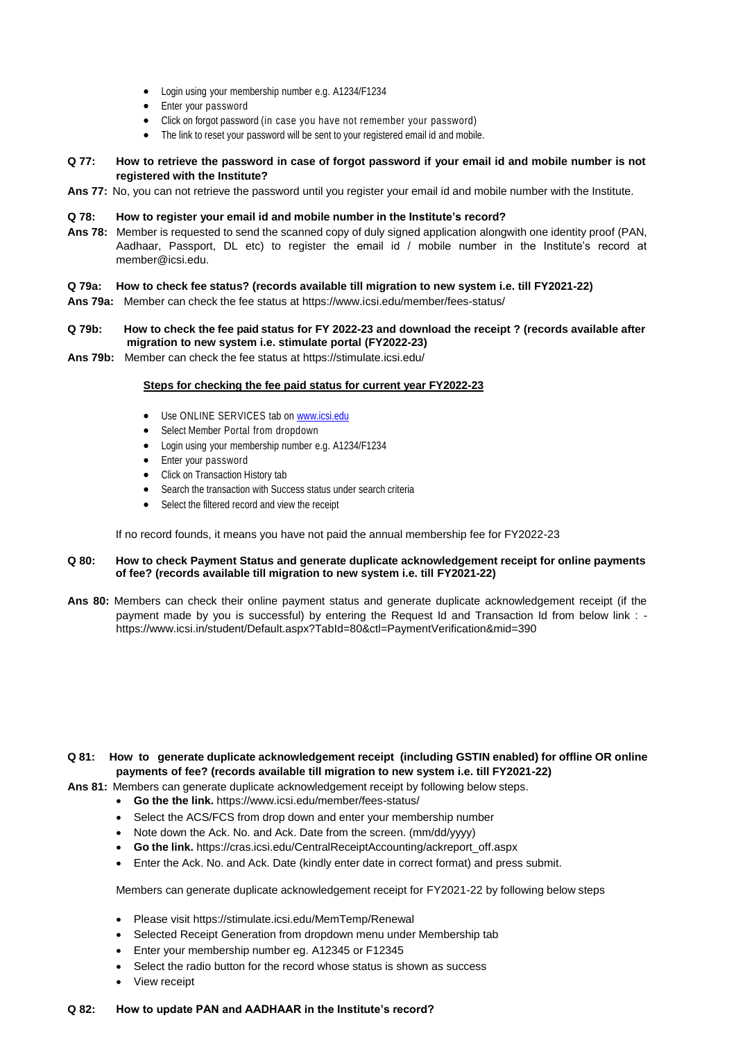- Login using your membership number e.g. A1234/F1234
- Enter your password
- Click on forgot password (in case you have not remember your password)
- The link to reset your password will be sent to your registered email id and mobile.

## Q 77: How to retrieve the password in case of forgot password if your email id and mobile number is not **registered with the Institute?**

**Ans 77:** No, you can not retrieve the password until you register your email id and mobile number with the Institute.

#### **Q 78: How to register your email id and mobile number in the Institute's record?**

**Ans 78:** Member is requested to send the scanned copy of duly signed application alongwith one identity proof (PAN, Aadhaar, Passport, DL etc) to register the email id / mobile number in the Institute's record at [member@icsi.edu.](mailto:member@icsi.edu)

### **Q 79a: How to check fee status? (records available till migration to new system i.e. till FY2021-22)**

**Ans 79a:** Member can check the fee status at <https://www.icsi.edu/member/fees-status/>

#### **Q 79b: How to check the fee paid status for FY 2022-23 and download the receipt ? (records available after migration to new system i.e. stimulate portal (FY2022-23)**

**Ans 79b:** Member can check the fee status at https://stimulate.icsi.edu/

#### **Steps for checking the fee paid status for current year FY2022-23**

- Use ONLINE SERVICES tab on [www.icsi.edu](http://www.icsi.edu/)
- Select Member Portal from dropdown
- Login using your membership number e.g. A1234/F1234
- Enter your password
- Click on Transaction History tab
- Search the transaction with Success status under search criteria
- Select the filtered record and view the receipt

If no record founds, it means you have not paid the annual membership fee for FY2022-23

#### **Q 80: How to [check Payment Status and generate duplicate acknowledgement receipt for online payments](https://www.icsi.in/student/Default.aspx?TabId=80&ctl=PaymentVerification&mid=390)  of fee? (records available till migration to new system i.e. till FY2021-22)**

**Ans 80:** Members can check their online payment status and generate duplicate acknowledgement receipt (if the payment made by you is successful) by entering the Request Id and Transaction Id from below link : <https://www.icsi.in/student/Default.aspx?TabId=80&ctl=PaymentVerification&mid=390>

- **Q 81: How to [generate duplicate acknowledgement receipt](https://www.icsi.in/student/Default.aspx?TabId=80&ctl=PaymentVerification&mid=390) (including GSTIN enabled) for offline OR [online](https://www.icsi.in/student/Default.aspx?TabId=80&ctl=PaymentVerification&mid=390) [payments](https://www.icsi.in/student/Default.aspx?TabId=80&ctl=PaymentVerification&mid=390) of fee? (records available till migration to new system i.e. till FY2021-22)**
- **Ans 81:** Members can generate duplicate acknowledgement receipt by following below steps.
	- **Go the the link.** <https://www.icsi.edu/member/fees-status/>
	- Select the ACS/FCS from drop down and enter your membership number
	- Note down the Ack. No. and Ack. Date from the screen. (mm/dd/yyyy)
	- **Go the link.** [https://cras.icsi.edu/CentralReceiptAccounting/ackreport\\_off.aspx](https://cras.icsi.edu/CentralReceiptAccounting/ackreport_off.aspx)
	- Enter the Ack. No. and Ack. Date (kindly enter date in correct format) and press submit.

Members can generate duplicate acknowledgement receipt for FY2021-22 by following below steps

- Please visit<https://stimulate.icsi.edu/MemTemp/Renewal>
- Selected Receipt Generation from dropdown menu under Membership tab
- Enter your membership number eg. A12345 or F12345
- Select the radio button for the record whose status is shown as success
- View receipt

#### **Q 82: How to update PAN and AADHAAR in the Institute's record?**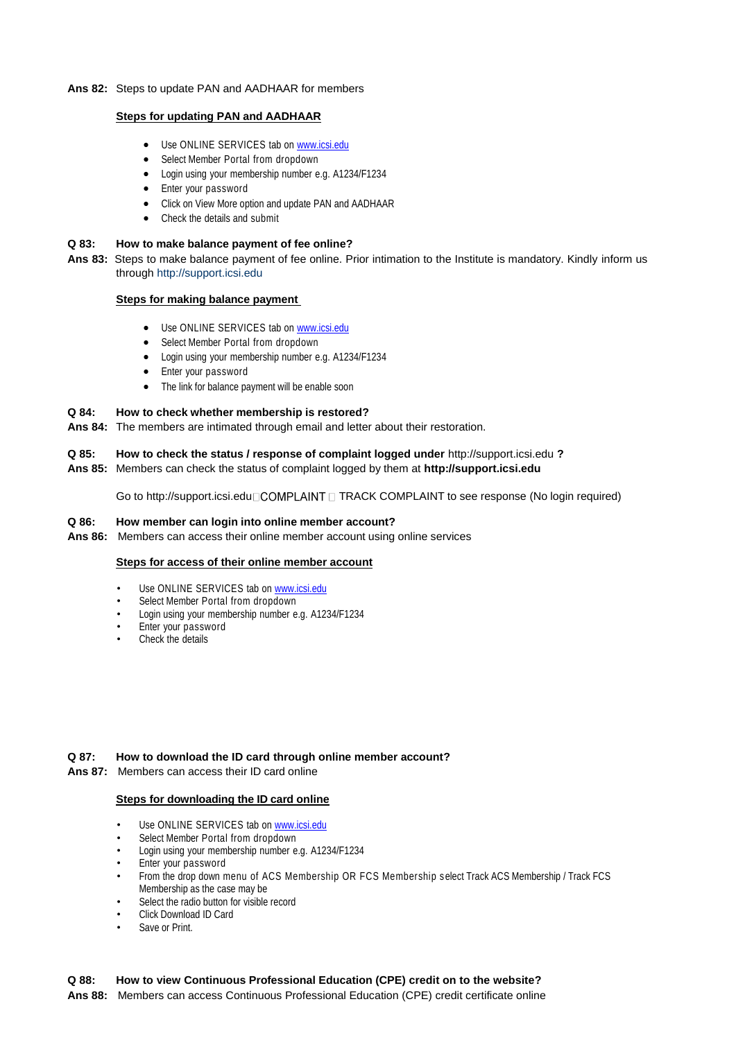### **Ans 82:** Steps to update PAN and AADHAAR for members

### **Steps for updating PAN and AADHAAR**

- Use ONLINE SERVICES tab on [www.icsi.edu](http://www.icsi.edu/)
- Select Member Portal from dropdown
- Login using your membership number e.g. A1234/F1234
- Enter your password
- Click on View More option and update PAN and AADHAAR
- Check the details and submit

## **Q 83: How to make balance payment of fee online?**

**Ans 83:** Steps to make balance payment of fee online. Prior intimation to the Institute is mandatory. Kindly inform us through [http://support.icsi.edu](http://support.icsi.edu/)

#### **Steps for making balance payment**

- Use ONLINE SERVICES tab on [www.icsi.edu](http://www.icsi.edu/)
- Select Member Portal from dropdown
- Login using your membership number e.g. A1234/F1234
- Enter your password
- The link for balance payment will be enable soon

#### **Q 84: How to check whether membership is restored?**

**Ans 84:** The members are intimated through email and letter about their restoration.

### **Q 85: How to check the status / response of complaint logged under** [http://support.icsi.edu](http://support.icsi.edu/) **?**

## **Ans 85:** Members can check the status of complaint logged by them at **[http://support.icsi.edu](http://support.icsi.edu/)**

Go to [http://support.icsi.edu](http://support.icsi.edu/) COMPLAINT n TRACK COMPLAINT to see response (No login required)

#### **Q 86: How member can login into online member account?**

**Ans 86:** Members can access their online member account using online services

#### **Steps for access of their online member account**

- Use ONLINE SERVICES tab on [www.icsi.edu](http://www.icsi.edu/)
- Select Member Portal from dropdown
- Login using your membership number e.g. A1234/F1234
- Enter your password
- Check the details

### **Q 87: How to download the ID card through online member account?**

**Ans 87:** Members can access their ID card online

### **Steps for downloading the ID card online**

- Use ONLINE SERVICES tab on [www.icsi.edu](http://www.icsi.edu/)
- Select Member Portal from dropdown
- Login using your membership number e.g. A1234/F1234
- Enter your password
- From the drop down menu of ACS Membership OR FCS Membership select Track ACS Membership / Track FCS Membership as the case may be
- Select the radio button for visible record
- Click Download ID Card
- Save or Print.